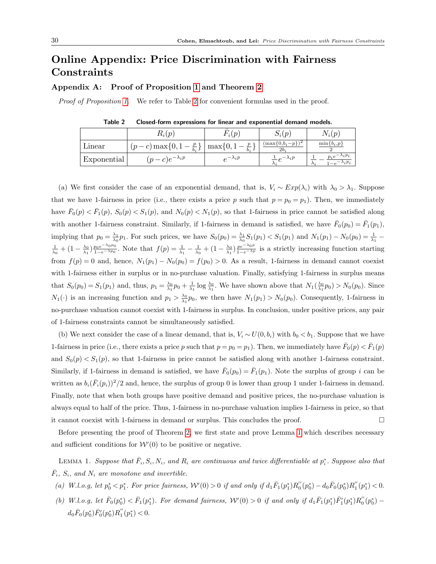# Online Appendix: Price Discrimination with Fairness Constraints

# Appendix A: Proof of Proposition 1 and Theorem 2

Proof of Proposition 1. We refer to Table 2 for convenient formulas used in the proof.

|             | $R_i(p)$                         | $\Omega$              | $S_i(p)$                        | $N_i(p)$                                                  |
|-------------|----------------------------------|-----------------------|---------------------------------|-----------------------------------------------------------|
| Linear      | $(p-c) \max\{0, 1-\}$<br>$b_i$ - | $\max\{0,$<br>$b_i$ . | $(\max\{0,b_i-p\})^2$<br>$2b_i$ | $\min\{b_i, p\}$                                          |
| Exponential | $(p-c)e^{-\lambda_i p}$          | $-\lambda_i p$        | $-e^{-\lambda_i p}$             | $\lambda_i p_i$<br>$p_i e$<br>$\lambda_i p_i$<br>$\Delta$ |

Table 2 Closed-form expressions for linear and exponential demand models.

(a) We first consider the case of an exponential demand, that is,  $V_i \sim Exp(\lambda_i)$  with  $\lambda_0 > \lambda_1$ . Suppose that we have 1-fairness in price (i.e., there exists a price p such that  $p = p_0 = p_1$ ). Then, we immediately have  $\bar{F}_0(p) < \bar{F}_1(p)$ ,  $S_0(p) < S_1(p)$ , and  $N_0(p) < N_1(p)$ , so that 1-fairness in price cannot be satisfied along with another 1-fairness constraint. Similarly, if 1-fairness in demand is satisfied, we have  $\bar{F}_0(p_0) = \bar{F}_1(p_1)$ , implying that  $p_0 = \frac{\lambda_1}{\lambda_0} p_1$ . For such prices, we have  $S_0(p_0) = \frac{\lambda_1}{\lambda_0} S_1(p_1) < S_1(p_1)$  and  $N_1(p_1) - N_0(p_0) = \frac{1}{\lambda_1}$  $\frac{1}{\lambda_0} + (1 - \frac{\lambda_0}{\lambda_1}) \frac{p_0 e^{-\lambda_0 p_0}}{1 - e^{-\lambda p_0}}$ . Note that  $f(p) = \frac{1}{\lambda_1} - \frac{1}{\lambda_0} + (1 - \frac{\lambda_0}{\lambda_1}) \frac{p e^{-\lambda_0 p}}{1 - e^{-\lambda p}}$  is a strictly increasing function starting from  $f(p) = 0$  and, hence,  $N_1(p_1) - N_0(p_0) = f(p_0) > 0$ . As a result, 1-fairness in demand cannot coexist with 1-fairness either in surplus or in no-purchase valuation. Finally, satisfying 1-fairness in surplus means that  $S_0(p_0) = S_1(p_1)$  and, thus,  $p_1 = \frac{\lambda_0}{\lambda_1} p_0 + \frac{1}{\lambda_1} \log \frac{\lambda_0}{\lambda_1}$ . We have shown above that  $N_1(\frac{\lambda_0}{\lambda_1} p_0) > N_0(p_0)$ . Since  $N_1(\cdot)$  is an increasing function and  $p_1 > \frac{\lambda_0}{\lambda_1} p_0$ , we then have  $N_1(p_1) > N_0(p_0)$ . Consequently, 1-fairness in no-purchase valuation cannot coexist with 1-fairness in surplus. In conclusion, under positive prices, any pair of 1-fairness constraints cannot be simultaneously satisfied.

(b) We next consider the case of a linear demand, that is,  $V_i \sim U(0, b_i)$  with  $b_0 < b_1$ . Suppose that we have 1-fairness in price (i.e., there exists a price p such that  $p = p_0 = p_1$ ). Then, we immediately have  $\bar{F}_0(p) < \bar{F}_1(p)$ and  $S_0(p) < S_1(p)$ , so that 1-fairness in price cannot be satisfied along with another 1-fairness constraint. Similarly, if 1-fairness in demand is satisfied, we have  $\bar{F}_0(p_0) = \bar{F}_1(p_1)$ . Note the surplus of group i can be written as  $b_i(\bar{F}_i(p_i))^2/2$  and, hence, the surplus of group 0 is lower than group 1 under 1-fairness in demand. Finally, note that when both groups have positive demand and positive prices, the no-purchase valuation is always equal to half of the price. Thus, 1-fairness in no-purchase valuation implies 1-fairness in price, so that it cannot coexist with 1-fairness in demand or surplus. This concludes the proof.  $\square$ 

Before presenting the proof of Theorem 2, we first state and prove Lemma 1 which describes necessary and sufficient conditions for  $W(0)$  to be positive or negative.

LEMMA 1. Suppose that  $\bar{F}_i, S_i, N_i$ , and  $R_i$  are continuous and twice differentiable at  $p_i^*$ . Suppose also that  $\bar{F}_i$ ,  $S_i$ , and  $N_i$  are monotone and invertible.

- (a) W.l.o.g, let  $p_0^* < p_1^*$ . For price fairness,  $W'(0) > 0$  if and only if  $d_1 \bar{F}_1(p_1^*) R_0''(p_0^*) d_0 \bar{F}_0(p_0^*) R_1''(p_1^*) < 0$ .
- (b) W.l.o.g, let  $\bar{F}_0(p_0^*) < \bar{F}_1(p_1^*)$ . For demand fairness,  $W'(0) > 0$  if and only if  $d_1 \bar{F}_1(p_1^*) \bar{F}_1'(p_1^*) R_0''(p_0^*)$  $d_0 \bar{F}_0(p_0^*) \bar{F}_0'(p_0^*) R_1''(p_1^*) < 0.$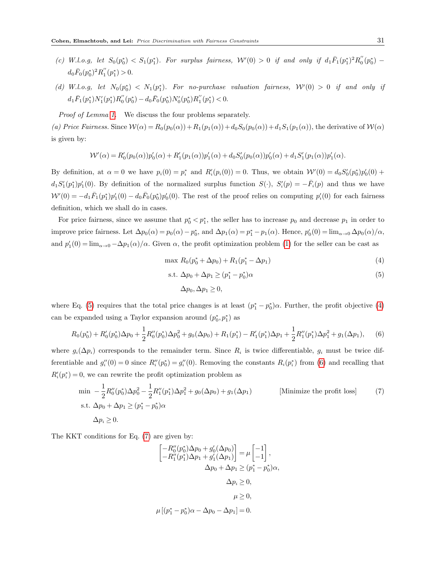- (c) W.l.o.g, let  $S_0(p_0^*) < S_1(p_1^*)$ . For surplus fairness,  $W'(0) > 0$  if and only if  $d_1 \bar{F}_1(p_1^*)^2 R_0''(p_0^*)$  $d_0 \bar{F}_0(p_0^*)^2 R_1''(p_1^*) > 0.$
- (d) W.l.o.g, let  $N_0(p_0^*) \leq N_1(p_1^*)$ . For no-purchase valuation fairness,  $\mathcal{W}'(0) > 0$  if and only if  $d_1 \bar{F}_1(p_1^*) N_1'(p_1^*) R_0''(p_0^*) - d_0 \bar{F}_0(p_0^*) N_0'(p_0^*) R_1''(p_1^*) < 0.$

Proof of Lemma 1. We discuss the four problems separately.

(a) Price Fairness. Since  $W(\alpha) = R_0(p_0(\alpha)) + R_1(p_1(\alpha)) + d_0S_0(p_0(\alpha)) + d_1S_1(p_1(\alpha))$ , the derivative of  $W(\alpha)$ is given by:

$$
\mathcal{W}'(\alpha) = R'_0(p_0(\alpha))p'_0(\alpha) + R'_1(p_1(\alpha))p'_1(\alpha) + d_0S'_0(p_0(\alpha))p'_0(\alpha) + d_1S'_1(p_1(\alpha))p'_1(\alpha).
$$

By definition, at  $\alpha = 0$  we have  $p_i(0) = p_i^*$  and  $R_i'(p_i(0)) = 0$ . Thus, we obtain  $W'(0) = d_0 S_0'(p_0^*) p_0'(0) +$  $d_1S'_1(p_1^*)p'_1(0)$ . By definition of the normalized surplus function  $S(\cdot)$ ,  $S'_i(p) = -\overline{F}_i(p)$  and thus we have  $W'(0) = -d_1 \bar{F}_1(p_1^*)p_1'(0) - d_0 \bar{F}_0(p_0^*)p_0'(0)$ . The rest of the proof relies on computing  $p_i'(0)$  for each fairness definition, which we shall do in cases.

For price fairness, since we assume that  $p_0^* < p_1^*$ , the seller has to increase  $p_0$  and decrease  $p_1$  in order to improve price fairness. Let  $\Delta p_0(\alpha) = p_0(\alpha) - p_0^*$ , and  $\Delta p_1(\alpha) = p_1^* - p_1(\alpha)$ . Hence,  $p'_0(0) = \lim_{\alpha \to 0} \Delta p_0(\alpha) / \alpha$ , and  $p'_1(0) = \lim_{\alpha \to 0} -\Delta p_1(\alpha)/\alpha$ . Given  $\alpha$ , the profit optimization problem (1) for the seller can be cast as

$$
\max R_0(p_0^* + \Delta p_0) + R_1(p_1^* - \Delta p_1) \tag{4}
$$

$$
s.t. \Delta p_0 + \Delta p_1 \ge (p_1^* - p_0^*)\alpha \tag{5}
$$

$$
\Delta p_0, \Delta p_1 \ge 0,
$$

where Eq. (5) requires that the total price changes is at least  $(p_1^* - p_0^*)\alpha$ . Further, the profit objective (4) can be expanded using a Taylor expansion around  $(p_0^*, p_1^*)$  as

$$
R_0(p_0^*) + R_0'(p_0^*)\Delta p_0 + \frac{1}{2}R_0''(p_0^*)\Delta p_0^2 + g_0(\Delta p_0) + R_1(p_1^*) - R_1'(p_1^*)\Delta p_1 + \frac{1}{2}R_1''(p_1^*)\Delta p_1^2 + g_1(\Delta p_1),\tag{6}
$$

where  $g_i(\Delta p_i)$  corresponds to the remainder term. Since  $R_i$  is twice differentiable,  $g_i$  must be twice differentiable and  $g_i''(0) = 0$  since  $R_i''(p_0^*) = g_i''(0)$ . Removing the constants  $R_i(p_i^*)$  from (6) and recalling that  $R_i'(p_i^*)=0$ , we can rewrite the profit optimization problem as

$$
\min -\frac{1}{2}R_0''(p_0^*)\Delta p_0^2 - \frac{1}{2}R_1''(p_1^*)\Delta p_1^2 + g_0(\Delta p_0) + g_1(\Delta p_1)
$$
 [Minimize the profit loss]  
s.t.  $\Delta p_0 + \Delta p_1 \ge (p_1^* - p_0^*)\alpha$   
 $\Delta p_i \ge 0.$  (7)

The KKT conditions for Eq. (7) are given by:

$$
\begin{aligned}\n\begin{bmatrix}\n-R_0''(p_0^*)\Delta p_0 + g_0'(\Delta p_0) \\
-R_1''(p_1^*)\Delta p_1 + g_1'(\Delta p_1)\n\end{bmatrix} &= \mu \begin{bmatrix} -1 \\
-1 \end{bmatrix}, \\
\Delta p_0 + \Delta p_1 &\geq (p_1^* - p_0^*)\alpha, \\
\Delta p_i &\geq 0, \\
\mu &\geq 0,\n\end{aligned}
$$
\n
$$
\mu \begin{bmatrix} (p_1^* - p_0^*)\alpha - \Delta p_0 - \Delta p_1 \end{bmatrix} = 0.
$$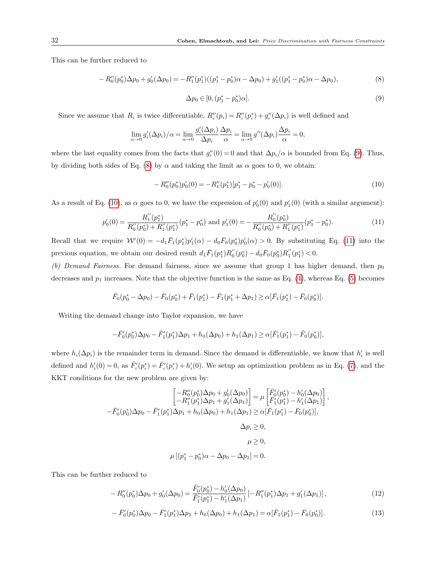This can be further reduced to

$$
-R_0''(p_0^*)\Delta p_0 + g_0'(\Delta p_0) = -R_1''(p_1^*)(p_1^* - p_0^*)\alpha - \Delta p_0 + g_1'((p_1^* - p_0^*)\alpha - \Delta p_0),\tag{8}
$$

$$
\Delta p_0 \in [0, (p_1^* - p_0^*)\alpha]. \tag{9}
$$

Since we assume that  $R_i$  is twice differentiable,  $R''_i(p_i) = R''_i(p_i^*) + g''_i(\Delta p_i)$  is well defined and

$$
\lim_{\alpha \to 0} g'_i(\Delta p_i)/\alpha = \lim_{\alpha \to 0} \frac{g'_i(\Delta p_i)}{\Delta p_i} \frac{\Delta p_i}{\alpha} = \lim_{\alpha \to 0} g''(\Delta p_i) \frac{\Delta p_i}{\alpha} = 0,
$$

where the last equality comes from the facts that  $g_i''(0) = 0$  and that  $\Delta p_i/\alpha$  is bounded from Eq. (9). Thus, by dividing both sides of Eq. (8) by  $\alpha$  and taking the limit as  $\alpha$  goes to 0, we obtain:

$$
-R_0''(p_0^*)p_0'(0) = -R_1''(p_1^*)[p_1^* - p_0^* - p_0'(0)].
$$
\n(10)

As a result of Eq. (10), as  $\alpha$  goes to 0, we have the expression of  $p'_0(0)$  and  $p'_1(0)$  (with a similar argument):

$$
p_0'(0) = \frac{R_1''(p_1^*)}{R_0''(p_0^*) + R_1''(p_1^*)} (p_1^* - p_0^*) \text{ and } p_1'(0) = -\frac{R_0''(p_0^*)}{R_0''(p_0^*) + R_1''(p_1^*)} (p_1^* - p_0^*).
$$
 (11)

Recall that we require  $W'(0) = -d_1 \bar{F}_1(p_1^*) p_1'(\alpha) - d_0 \bar{F}_0(p_0^*) p_0'(\alpha) > 0$ . By substituting Eq. (11) into the previous equation, we obtain our desired result  $d_1 \bar{F}_1(p_1^*) R_0''(p_0^*) - d_0 \bar{F}_0(p_0^*) R_1''(p_1^*) < 0$ .

(b) Demand Fairness. For demand fairness, since we assume that group 1 has higher demand, then  $p_0$ decreases and  $p_1$  increases. Note that the objective function is the same as Eq. (4), whereas Eq. (5) becomes

$$
\overline{F}_0(p_0^* - \Delta p_0) - \overline{F}_0(p_0^*) + \overline{F}_1(p_1^*) - \overline{F}_1(p_1^* + \Delta p_1) \ge \alpha[\overline{F}_1(p_1^*) - \overline{F}_0(p_0^*)].
$$

Writing the demand change into Taylor expansion, we have

$$
-\bar{F}_0'(p_0^*)\Delta p_0 - \bar{F}_1'(p_1^*)\Delta p_1 + h_0(\Delta p_0) + h_1(\Delta p_1) \ge \alpha[\bar{F}_1(p_1^*) - \bar{F}_0(p_0^*)],
$$

where  $h_i(\Delta p_i)$  is the remainder term in demand. Since the demand is differentiable, we know that  $h'_i$  is well defined and  $h'_i(0) = 0$ , as  $\overline{F'_i}(p_i^*) = \overline{F'_i}(p_i^*) + h'_i(0)$ . We setup an optimization problem as in Eq. (7), and the KKT conditions for the new problem are given by:

$$
\begin{aligned}\n\left[-R_0''(p_0^*)\Delta p_0 + g_0'(\Delta p_0)\right] &= \mu \left[\bar{F}_0'(p_0^*) - h_0'(\Delta p_0)\right] \\
\left[-R_1''(p_1^*)\Delta p_1 + g_1'(\Delta p_1)\right] &= \mu \left[\bar{F}_1'(p_1^*) - h_1'(\Delta p_1)\right], \\
-\bar{F}_0'(p_0^*)\Delta p_0 - \bar{F}_1'(p_1^*)\Delta p_1 + h_0(\Delta p_0) + h_1(\Delta p_1) &\ge \alpha[\bar{F}_1(p_1^*) - \bar{F}_0(p_0^*)], \\
\Delta p_i &\ge 0, \\
\mu \ge 0, \\
\mu \left[(p_1^* - p_0^*)\alpha - \Delta p_0 - \Delta p_1\right] &= 0.\n\end{aligned}
$$

This can be further reduced to

$$
-R''_0(p_0^*)\Delta p_0 + g'_0(\Delta p_0) = \frac{\bar{F}'_0(p_0^*) - h'_0(\Delta p_0)}{\bar{F}'_1(p_1^*) - h'_1(\Delta p_1)} \left[ -R''_1(p_1^*)\Delta p_1 + g'_1(\Delta p_1) \right],\tag{12}
$$

$$
- \bar{F}_0'(p_0^*) \Delta p_0 - \bar{F}_1'(p_1^*) \Delta p_1 + h_0(\Delta p_0) + h_1(\Delta p_1) = \alpha [\bar{F}_1(p_1^*) - \bar{F}_0(p_0^*)]. \tag{13}
$$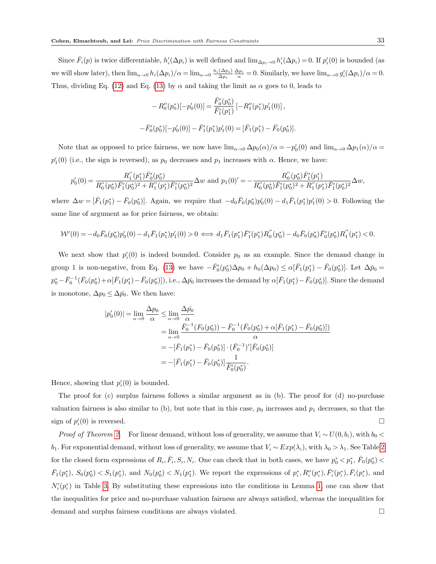Since  $\bar{F}_i(p)$  is twice differentiable,  $h'_i(\Delta p_i)$  is well defined and  $\lim_{\Delta p_i\to 0} h'_i(\Delta p_i) = 0$ . If  $p'_i(0)$  is bounded (as we will show later), then  $\lim_{\alpha\to 0} h_i(\Delta p_i)/\alpha = \lim_{\alpha\to 0} \frac{h_i(\Delta p_i)}{\Delta p_i}$  $\frac{(\Delta p_i)}{\Delta p_i} \frac{\Delta p_i}{\alpha} = 0$ . Similarly, we have  $\lim_{\alpha \to 0} g_i'(\Delta p_i)/\alpha = 0$ . Thus, dividing Eq. (12) and Eq. (13) by  $\alpha$  and taking the limit as  $\alpha$  goes to 0, leads to

$$
-R''_0(p_0^*)[-p'_0(0)] = \frac{\bar{F}'_0(p_0^*)}{\bar{F}'_1(p_1^*)}[-R''_1(p_1^*)p'_1(0)],
$$
  

$$
-\bar{F}'_0(p_0^*)[-p'_0(0)] - \bar{F}'_1(p_1^*)p'_1(0) = [\bar{F}_1(p_1^*) - \bar{F}_0(p_0^*)].
$$

Note that as opposed to price fairness, we now have  $\lim_{\alpha\to 0} \Delta p_0(\alpha)/\alpha = -p'_0(0)$  and  $\lim_{\alpha\to 0} \Delta p_1(\alpha)/\alpha =$  $p'_1(0)$  (i.e., the sign is reversed), as  $p_0$  decreases and  $p_1$  increases with  $\alpha$ . Hence, we have:

$$
p_0'(0) = \frac{R_1''(p_1^*)\bar{F}_0'(p_0^*)}{R_0''(p_0^*)\bar{F}_1'(p_0^*)^2 + R_1''(p_1^*)\bar{F}_1'(p_0^*)^2} \Delta w \text{ and } p_1(0)' = -\frac{R_0''(p_0^*)\bar{F}_1'(p_1^*)}{R_0''(p_0^*)\bar{F}_1'(p_0^*)^2 + R_1''(p_1^*)\bar{F}_1'(p_0^*)^2} \Delta w,
$$

where  $\Delta w = [\bar{F}_1(p_1^*) - \bar{F}_0(p_0^*)]$ . Again, we require that  $-d_0\bar{F}_0(p_0^*)p_0'(0) - d_1\bar{F}_1(p_1^*)p_1'(0) > 0$ . Following the same line of argument as for price fairness, we obtain:

$$
\mathcal{W}'(0) = -d_0 \bar{F}_0(p_0^*) p_0'(0) - d_1 \bar{F}_1(p_1^*) p_1'(0) > 0 \iff d_1 \bar{F}_1(p_1^*) \bar{F}_1'(p_1^*) R_0''(p_0^*) - d_0 \bar{F}_0(p_0^*) \bar{F}_0'(p_0^*) R_1''(p_1^*) < 0.
$$

We next show that  $p_i'(0)$  is indeed bounded. Consider  $p_0$  as an example. Since the demand change in group 1 is non-negative, from Eq. (13) we have  $-\bar{F}_0'(p_0^*)\Delta p_0 + h_0(\Delta p_0) \leq \alpha[\bar{F}_1(p_1^*) - \bar{F}_0(p_0^*)]$ . Let  $\Delta \bar{p}_0 =$  $p_0^* - \bar{F}_0^{-1}(\bar{F}_0(p_0^*) + \alpha[\bar{F}_1(p_1^*) - \bar{F}_0(p_0^*)])$ , i.e.,  $\Delta p_0$  increases the demand by  $\alpha[\bar{F}_1(p_1^*) - \bar{F}_0(p_0^*)]$ . Since the demand is monotone,  $\Delta p_0 \leq \Delta \bar{p_0}$ . We then have:

$$
|p'_{0}(0)| = \lim_{\alpha \to 0} \frac{\Delta p_{0}}{\alpha} \le \lim_{\alpha \to 0} \frac{\Delta \bar{p_{0}}}{\alpha}
$$
  
\n
$$
= \lim_{\alpha \to 0} \frac{\bar{F}_{0}^{-1}(F_{0}(p_{0}^{*})) - \bar{F}_{0}^{-1}(\bar{F}_{0}(p_{0}^{*}) + \alpha[\bar{F}_{1}(p_{1}^{*}) - \bar{F}_{0}(p_{0}^{*})])}{\alpha}
$$
  
\n
$$
= -[\bar{F}_{1}(p_{1}^{*}) - \bar{F}_{0}(p_{0}^{*})] \cdot (\bar{F}_{0}^{-1})'[\bar{F}_{0}(p_{0}^{*})]
$$
  
\n
$$
= -[\bar{F}_{1}(p_{1}^{*}) - \bar{F}_{0}(p_{0}^{*})] \frac{1}{\bar{F}_{0}'(p_{0}^{*})}.
$$

Hence, showing that  $p_i'(0)$  is bounded.

The proof for (c) surplus fairness follows a similar argument as in (b). The proof for (d) no-purchase valuation fairness is also similar to (b), but note that in this case,  $p_0$  increases and  $p_1$  decreases, so that the sign of  $p_i'(0)$  is reversed.

*Proof of Theorem 2.* For linear demand, without loss of generality, we assume that  $V_i \sim U(0, b_i)$ , with  $b_0 <$ b<sub>1</sub>. For exponential demand, without loss of generality, we assume that  $V_i \sim Exp(\lambda_i)$ , with  $\lambda_0 > \lambda_1$ . See Table 2 for the closed form expressions of  $R_i$ ,  $\bar{F}_i$ ,  $S_i$ ,  $N_i$ . One can check that in both cases, we have  $p_0^* < p_1^*$ ,  $\bar{F}_0(p_0^*) <$  $\bar{F}_1(p_1^*), S_0(p_0^*) \lt S_1(p_1^*),$  and  $N_0(p_0^*) \lt N_1(p_1^*)$ . We report the expressions of  $p_i^*, R_i''(p_i^*), \bar{F}_i'(p_i^*), \bar{F}_i(p_i^*),$  and  $N_i'(p_i^*)$  in Table 3. By substituting these expressions into the conditions in Lemma 1, one can show that the inequalities for price and no-purchase valuation fairness are always satisfied, whereas the inequalities for demand and surplus fairness conditions are always violated.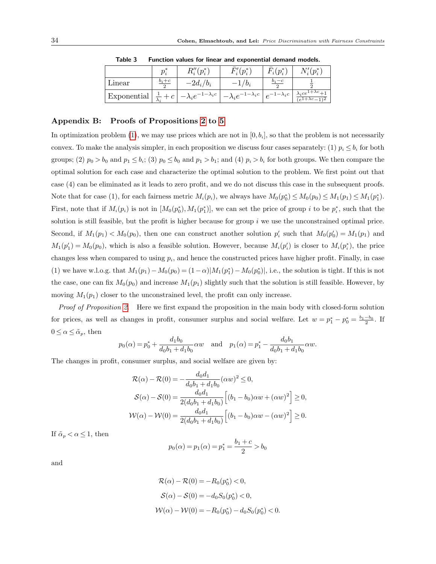|             |         | $R_i''(p_i^*)$                  | $\bar{F}_i'(p_i^*)$                                                      | $\bar{F}_i(p_i^*)$ | $N_i'(p_i^*)$                                                |
|-------------|---------|---------------------------------|--------------------------------------------------------------------------|--------------------|--------------------------------------------------------------|
| Linear      | $b_i+c$ | $-2d_i/b_i$                     | $/b_i$                                                                   | $o_i-c$            |                                                              |
| Exponential | $+ c$   | $-\lambda_i e^{-1-\lambda_i c}$ | $\vert -\lambda_i e^{-1-\lambda_i c}\,\vert\, e^{-1-\lambda_i c}\,\vert$ |                    | $\lambda_i c e^{1+\lambda c} + 1$<br>$(e^{1+\lambda c}-1)^2$ |

Table 3 Function values for linear and exponential demand models.

# Appendix B: Proofs of Propositions 2 to 5

In optimization problem (1), we may use prices which are not in  $[0, b_i]$ , so that the problem is not necessarily convex. To make the analysis simpler, in each proposition we discuss four cases separately: (1)  $p_i \leq b_i$  for both groups; (2)  $p_0 > b_0$  and  $p_1 \le b_i$ ; (3)  $p_0 \le b_0$  and  $p_1 > b_1$ ; and (4)  $p_i > b_i$  for both groups. We then compare the optimal solution for each case and characterize the optimal solution to the problem. We first point out that case (4) can be eliminated as it leads to zero profit, and we do not discuss this case in the subsequent proofs. Note that for case (1), for each fairness metric  $M_i(p_i)$ , we always have  $M_0(p_0^*) \leq M_0(p_0) \leq M_1(p_1) \leq M_1(p_1^*)$ . First, note that if  $M_i(p_i)$  is not in  $[M_0(p_0^*), M_1(p_1^*)]$ , we can set the price of group i to be  $p_i^*$ , such that the solution is still feasible, but the profit is higher because for group  $i$  we use the unconstrained optimal price. Second, if  $M_1(p_1) < M_0(p_0)$ , then one can construct another solution  $p'_i$  such that  $M_0(p'_0) = M_1(p_1)$  and  $M_1(p'_1) = M_0(p_0)$ , which is also a feasible solution. However, because  $M_i(p'_i)$  is closer to  $M_i(p_i^*)$ , the price changes less when compared to using  $p_i$ , and hence the constructed prices have higher profit. Finally, in case (1) we have w.l.o.g. that  $M_1(p_1) - M_0(p_0) = (1 - \alpha) |M_1(p_1^*) - M_0(p_0^*)|$ , i.e., the solution is tight. If this is not the case, one can fix  $M_0(p_0)$  and increase  $M_1(p_1)$  slightly such that the solution is still feasible. However, by moving  $M_1(p_1)$  closer to the unconstrained level, the profit can only increase.

Proof of Proposition 2. Here we first expand the proposition in the main body with closed-form solution for prices, as well as changes in profit, consumer surplus and social welfare. Let  $w = p_1^* - p_0^* = \frac{b_1 - b_0}{2}$ . If  $0 \leq \alpha \leq \tilde{\alpha}_p$ , then

$$
p_0(\alpha) = p_0^* + \frac{d_1b_0}{d_0b_1 + d_1b_0}\alpha w
$$
 and  $p_1(\alpha) = p_1^* - \frac{d_0b_1}{d_0b_1 + d_1b_0}\alpha w$ .

The changes in profit, consumer surplus, and social welfare are given by:

$$
\mathcal{R}(\alpha) - \mathcal{R}(0) = -\frac{d_0 d_1}{d_0 b_1 + d_1 b_0} (\alpha w)^2 \le 0,
$$
  
\n
$$
\mathcal{S}(\alpha) - \mathcal{S}(0) = \frac{d_0 d_1}{2(d_0 b_1 + d_1 b_0)} \Big[ (b_1 - b_0) \alpha w + (\alpha w)^2 \Big] \ge 0,
$$
  
\n
$$
\mathcal{W}(\alpha) - \mathcal{W}(0) = \frac{d_0 d_1}{2(d_0 b_1 + d_1 b_0)} \Big[ (b_1 - b_0) \alpha w - (\alpha w)^2 \Big] \ge 0.
$$

If  $\tilde{\alpha}_p < \alpha \leq 1$ , then

$$
p_0(\alpha) = p_1(\alpha) = p_1^* = \frac{b_1 + c}{2} > b_0
$$

and

$$
\mathcal{R}(\alpha) - \mathcal{R}(0) = -R_0(p_0^*) < 0,
$$
  
\n
$$
\mathcal{S}(\alpha) - \mathcal{S}(0) = -d_0 S_0(p_0^*) < 0,
$$
  
\n
$$
\mathcal{W}(\alpha) - \mathcal{W}(0) = -R_0(p_0^*) - d_0 S_0(p_0^*) < 0.
$$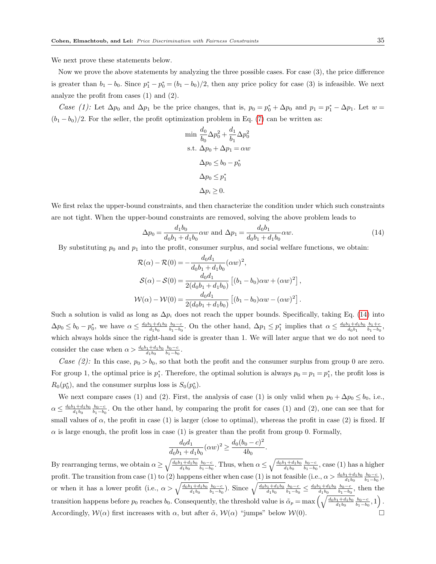We next prove these statements below.

Now we prove the above statements by analyzing the three possible cases. For case (3), the price difference is greater than  $b_1 - b_0$ . Since  $p_1^* - p_0^* = (b_1 - b_0)/2$ , then any price policy for case (3) is infeasible. We next analyze the profit from cases (1) and (2).

Case (1): Let  $\Delta p_0$  and  $\Delta p_1$  be the price changes, that is,  $p_0 = p_0^* + \Delta p_0$  and  $p_1 = p_1^* - \Delta p_1$ . Let  $w =$  $(b_1 - b_0)/2$ . For the seller, the profit optimization problem in Eq. (7) can be written as:

$$
\begin{aligned}\n\min \ & \frac{d_0}{b_0} \Delta p_0^2 + \frac{d_1}{b_1} \Delta p_0^2 \\
\text{s.t. } \Delta p_0 + \Delta p_1 &= \alpha w \\
\Delta p_0 &\le b_0 - p_0^* \\
\Delta p_0 &\le p_1^* \\
\Delta p_i &\ge 0.\n\end{aligned}
$$

We first relax the upper-bound constraints, and then characterize the condition under which such constraints are not tight. When the upper-bound constraints are removed, solving the above problem leads to

$$
\Delta p_0 = \frac{d_1 b_0}{d_0 b_1 + d_1 b_0} \alpha w \text{ and } \Delta p_1 = \frac{d_0 b_1}{d_0 b_1 + d_1 b_0} \alpha w.
$$
\n(14)

By substituting  $p_0$  and  $p_1$  into the profit, consumer surplus, and social welfare functions, we obtain:

$$
\mathcal{R}(\alpha) - \mathcal{R}(0) = -\frac{d_0 d_1}{d_0 b_1 + d_1 b_0} (\alpha w)^2,
$$
  
\n
$$
\mathcal{S}(\alpha) - \mathcal{S}(0) = \frac{d_0 d_1}{2(d_0 b_1 + d_1 b_0)} \left[ (b_1 - b_0) \alpha w + (\alpha w)^2 \right],
$$
  
\n
$$
\mathcal{W}(\alpha) - \mathcal{W}(0) = \frac{d_0 d_1}{2(d_0 b_1 + d_1 b_0)} \left[ (b_1 - b_0) \alpha w - (\alpha w)^2 \right].
$$

Such a solution is valid as long as  $\Delta p_i$  does not reach the upper bounds. Specifically, taking Eq. (14) into  $\Delta p_0 \leq b_0 - p_0^*$ , we have  $\alpha \leq \frac{d_0b_1+d_1b_0}{d_1b_0} \frac{b_0-c}{b_1-b_0}$ . On the other hand,  $\Delta p_1 \leq p_1^*$  implies that  $\alpha \leq \frac{d_0b_1+d_1b_0}{d_0b_1} \frac{b_1+c_0}{b_1-b_0}$ , which always holds since the right-hand side is greater than 1. We will later argue that we do not need to consider the case when  $\alpha > \frac{d_0b_1 + d_1b_0}{d_1b_0} \frac{b_0 - c}{b_1 - b_0}$ .

Case (2): In this case,  $p_0 > b_0$ , so that both the profit and the consumer surplus from group 0 are zero. For group 1, the optimal price is  $p_1^*$ . Therefore, the optimal solution is always  $p_0 = p_1 = p_1^*$ , the profit loss is  $R_0(p_0^*)$ , and the consumer surplus loss is  $S_0(p_0^*)$ .

We next compare cases (1) and (2). First, the analysis of case (1) is only valid when  $p_0 + \Delta p_0 \le b_0$ , i.e.,  $\alpha \leq \frac{d_0b_1+d_1b_0}{d_1b_0} \frac{b_0-c}{b_1-b_0}$ . On the other hand, by comparing the profit for cases (1) and (2), one can see that for small values of  $\alpha$ , the profit in case (1) is larger (close to optimal), whereas the profit in case (2) is fixed. If  $\alpha$  is large enough, the profit loss in case (1) is greater than the profit from group 0. Formally,

$$
\frac{d_0 d_1}{d_0 b_1 + d_1 b_0} (\alpha w)^2 \ge \frac{d_0 (b_0 - c)^2}{4b_0}.
$$

By rearranging terms, we obtain  $\alpha \ge \sqrt{\frac{d_0b_1+d_1b_0}{d_1b_0}} \frac{b_0-c}{b_1-b_0}$ . Thus, when  $\alpha \le \sqrt{\frac{d_0b_1+d_1b_0}{d_1b_0}} \frac{b_0-c}{b_1-b_0}$ , case (1) has a higher profit. The transition from case (1) to (2) happens either when case (1) is not feasible (i.e.,  $\alpha > \frac{d_0b_1+d_1b_0}{d_1b_0} \frac{b_0-c}{b_1-b_0}$ ), or when it has a lower profit (i.e.,  $\alpha > \sqrt{\frac{d_0b_1+d_1b_0}{d_1b_0}} \frac{b_0-c}{b_1-b_0}$ ). Since  $\sqrt{\frac{d_0b_1+d_1b_0}{d_1b_0}} \frac{b_0-c}{b_1-b_0} \leq \frac{d_0b_1+d_1b_0}{d_1b_0} \frac{b_0-c}{b_1-b_0}$ , then the transition happens before  $p_0$  reaches  $b_0$ . Consequently, the threshold value is  $\tilde{\alpha}_p = \max\left(\sqrt{\frac{d_0b_1+d_1b_0}{d_1b_0}} \frac{b_0-c}{b_1-b_0},1\right)$ . Accordingly,  $W(\alpha)$  first increases with  $\alpha$ , but after  $\tilde{\alpha}$ ,  $W(\alpha)$  "jumps" below  $W(0)$ .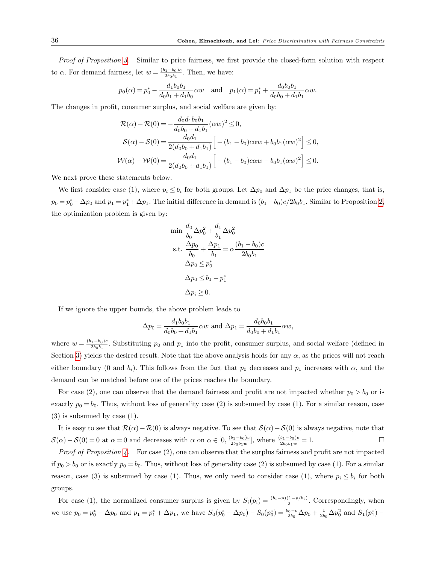Proof of Proposition 3. Similar to price fairness, we first provide the closed-form solution with respect to  $\alpha$ . For demand fairness, let  $w = \frac{(b_1 - b_0)c}{2b_0b_0}$  $\frac{(n_1-b_0)c}{2b_0b_1}$ . Then, we have:

$$
p_0(\alpha) = p_0^* - \frac{d_1b_0b_1}{d_0b_1 + d_1b_0}\alpha w
$$
 and  $p_1(\alpha) = p_1^* + \frac{d_0b_0b_1}{d_0b_0 + d_1b_1}\alpha w$ .

The changes in profit, consumer surplus, and social welfare are given by:

$$
\mathcal{R}(\alpha) - \mathcal{R}(0) = -\frac{d_0 d_1 b_0 b_1}{d_0 b_0 + d_1 b_1} (\alpha w)^2 \le 0,
$$
  
\n
$$
\mathcal{S}(\alpha) - \mathcal{S}(0) = \frac{d_0 d_1}{2(d_0 b_0 + d_1 b_1)} \left[ -(b_1 - b_0) c \alpha w + b_0 b_1 (\alpha w)^2 \right] \le 0,
$$
  
\n
$$
\mathcal{W}(\alpha) - \mathcal{W}(0) = \frac{d_0 d_1}{2(d_0 b_0 + d_1 b_1)} \left[ -(b_1 - b_0) c \alpha w - b_0 b_1 (\alpha w)^2 \right] \le 0.
$$

We next prove these statements below.

We first consider case (1), where  $p_i \leq b_i$  for both groups. Let  $\Delta p_0$  and  $\Delta p_1$  be the price changes, that is,  $p_0 = p_0^* - \Delta p_0$  and  $p_1 = p_1^* + \Delta p_1$ . The initial difference in demand is  $(b_1 - b_0)c/2b_0b_1$ . Similar to Proposition 2, the optimization problem is given by:

$$
\begin{aligned}\n\min & \frac{d_0}{b_0} \Delta p_0^2 + \frac{d_1}{b_1} \Delta p_0^2 \\
\text{s.t.} & \frac{\Delta p_0}{b_0} + \frac{\Delta p_1}{b_1} = \alpha \frac{(b_1 - b_0)c}{2b_0b_1} \\
\Delta p_0 & \le p_0^* \\
\Delta p_0 & \le b_1 - p_1^* \\
\Delta p_i & \ge 0.\n\end{aligned}
$$

If we ignore the upper bounds, the above problem leads to

$$
\Delta p_0 = \frac{d_1 b_0 b_1}{d_0 b_0 + d_1 b_1} \alpha w \text{ and } \Delta p_1 = \frac{d_0 b_0 b_1}{d_0 b_0 + d_1 b_1} \alpha w,
$$

where  $w = \frac{(b_1 - b_0)c}{2b_0b_1}$  $\frac{(11-b_0)c}{2b_0b_1}$ . Substituting  $p_0$  and  $p_1$  into the profit, consumer surplus, and social welfare (defined in Section 3) yields the desired result. Note that the above analysis holds for any  $\alpha$ , as the prices will not reach either boundary (0 and  $b_i$ ). This follows from the fact that  $p_0$  decreases and  $p_1$  increases with  $\alpha$ , and the demand can be matched before one of the prices reaches the boundary.

For case (2), one can observe that the demand fairness and profit are not impacted whether  $p_0 > b_0$  or is exactly  $p_0 = b_0$ . Thus, without loss of generality case (2) is subsumed by case (1). For a similar reason, case (3) is subsumed by case (1).

It is easy to see that  $\mathcal{R}(\alpha)-\mathcal{R}(0)$  is always negative. To see that  $\mathcal{S}(\alpha)-\mathcal{S}(0)$  is always negative, note that  $\mathcal{S}(\alpha) - \mathcal{S}(0) = 0$  at  $\alpha = 0$  and decreases with  $\alpha$  on  $\alpha \in [0, \frac{(b_1 - b_0)c}{2b_0 b_1 a_0}]$  $\frac{b_1-b_0)c}{2b_0b_1w}$ , where  $\frac{(b_1-b_0)c}{2b_0b_1w} = 1.$ 

*Proof of Proposition 4.* For case  $(2)$ , one can observe that the surplus fairness and profit are not impacted if  $p_0 > b_0$  or is exactly  $p_0 = b_0$ . Thus, without loss of generality case (2) is subsumed by case (1). For a similar reason, case (3) is subsumed by case (1). Thus, we only need to consider case (1), where  $p_i \leq b_i$  for both groups.

For case (1), the normalized consumer surplus is given by  $S_i(p_i) = \frac{(b_i - p)(1-p/b_i)}{2}$ . Correspondingly, when we use  $p_0 = p_0^* - \Delta p_0$  and  $p_1 = p_1^* + \Delta p_1$ , we have  $S_0(p_0^* - \Delta p_0) - S_0(p_0^*) = \frac{b_0 - c}{2b_0}\Delta p_0 + \frac{1}{2b_0}\Delta p_0^2$  and  $S_1(p_1^*) -$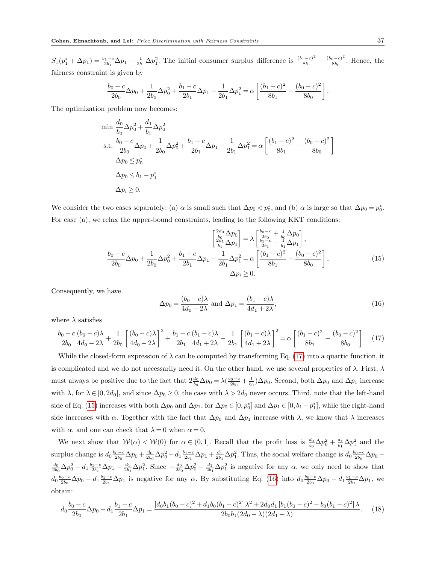$S_1(p_1^* + \Delta p_1) = \frac{b_1 - c}{2b_1} \Delta p_1 - \frac{1}{2b_1} \Delta p_1^2$ . The initial consumer surplus difference is  $\frac{(b_1 - c)^2}{8b_1}$  $\frac{(b_0-c)^2}{8b_1} - \frac{(b_0-c)^2}{8b_0}$  $\frac{8b_0}{8b_0}$ . Hence, the fairness constraint is given by

$$
\frac{b_0 - c}{2b_0} \Delta p_0 + \frac{1}{2b_0} \Delta p_0^2 + \frac{b_1 - c}{2b_1} \Delta p_1 - \frac{1}{2b_1} \Delta p_1^2 = \alpha \left[ \frac{(b_1 - c)^2}{8b_1} - \frac{(b_0 - c)^2}{8b_0} \right]
$$

The optimization problem now becomes:

$$
\begin{aligned}\n\min & \frac{d_0}{b_0} \Delta p_0^2 + \frac{d_1}{b_1} \Delta p_0^2 \\
\text{s.t.} & \frac{b_0 - c}{2b_0} \Delta p_0 + \frac{1}{2b_0} \Delta p_0^2 + \frac{b_1 - c}{2b_1} \Delta p_1 - \frac{1}{2b_1} \Delta p_1^2 = \alpha \left[ \frac{(b_1 - c)^2}{8b_1} - \frac{(b_0 - c)^2}{8b_0} \right] \\
\Delta p_0 & \leq p_0^* \\
\Delta p_0 & \leq b_1 - p_1^* \\
\Delta p_i & \geq 0.\n\end{aligned}
$$

We consider the two cases separately: (a)  $\alpha$  is small such that  $\Delta p_0 < p_0^*$ , and (b)  $\alpha$  is large so that  $\Delta p_0 = p_0^*$ . For case (a), we relax the upper-bound constraints, leading to the following KKT conditions:

$$
\begin{bmatrix}\n\frac{2d_0}{b_0}\Delta p_0 \\
\frac{2d_1}{b_1}\Delta p_1\n\end{bmatrix} = \lambda \begin{bmatrix}\n\frac{b_0 - c}{b_0} + \frac{1}{b_0}\Delta p_0 \\
\frac{2d_1}{b_1 - c} - \frac{1}{b_1}\Delta p_1\n\end{bmatrix},
$$
\n
$$
\frac{b_0 - c}{2b_0}\Delta p_0 + \frac{1}{2b_0}\Delta p_0^2 + \frac{b_1 - c}{2b_1}\Delta p_1 - \frac{1}{2b_1}\Delta p_1^2 = \alpha \left[ \frac{(b_1 - c)^2}{8b_1} - \frac{(b_0 - c)^2}{8b_0} \right],
$$
\n
$$
\Delta p_i \ge 0.
$$
\n(15)

Consequently, we have

$$
\Delta p_0 = \frac{(b_0 - c)\lambda}{4d_0 - 2\lambda} \text{ and } \Delta p_1 = \frac{(b_1 - c)\lambda}{4d_1 + 2\lambda},\tag{16}
$$

where  $\lambda$  satisfies

$$
\frac{b_0 - c}{2b_0} \frac{(b_0 - c)\lambda}{4d_0 - 2\lambda} + \frac{1}{2b_0} \left[ \frac{(b_0 - c)\lambda}{4d_0 - 2\lambda} \right]^2 + \frac{b_1 - c}{2b_1} \frac{(b_1 - c)\lambda}{4d_1 + 2\lambda} - \frac{1}{2b_1} \left[ \frac{(b_1 - c)\lambda}{4d_1 + 2\lambda} \right]^2 = \alpha \left[ \frac{(b_1 - c)^2}{8b_1} - \frac{(b_0 - c)^2}{8b_0} \right].
$$
 (17)

While the closed-form expression of  $\lambda$  can be computed by transforming Eq. (17) into a quartic function, it is complicated and we do not necessarily need it. On the other hand, we use several properties of  $\lambda$ . First,  $\lambda$ must always be positive due to the fact that  $2\frac{d_0}{b_0}\Delta p_0 = \lambda(\frac{b_0-c}{2b_0} + \frac{1}{b_0})\Delta p_0$ . Second, both  $\Delta p_0$  and  $\Delta p_1$  increase with  $\lambda$ , for  $\lambda \in [0, 2d_0]$ , and since  $\Delta p_0 \ge 0$ , the case with  $\lambda > 2d_0$  never occurs. Third, note that the left-hand side of Eq. (15) increases with both  $\Delta p_0$  and  $\Delta p_1$ , for  $\Delta p_0 \in [0, p_0^*]$  and  $\Delta p_1 \in [0, b_1 - p_1^*]$ , while the right-hand side increases with  $\alpha$ . Together with the fact that  $\Delta p_0$  and  $\Delta p_1$  increase with  $\lambda$ , we know that  $\lambda$  increases with  $\alpha$ , and one can check that  $\lambda = 0$  when  $\alpha = 0$ .

We next show that  $W(\alpha) < W(0)$  for  $\alpha \in (0,1]$ . Recall that the profit loss is  $\frac{d_0}{b_0} \Delta p_0^2 + \frac{d_1}{b_1} \Delta p_1^2$  and the surplus change is  $d_0 \frac{b_0 - c}{2b_0} \Delta p_0 + \frac{d_0}{2b_0} \Delta p_0^2 - d_1 \frac{b_1 - c}{2b_1} \Delta p_1 + \frac{d_1}{2b_1} \Delta p_1^2$ . Thus, the social welfare change is  $d_0 \frac{b_0 - c}{2b_0} \Delta p_0 \frac{d_0}{2b_0}\Delta p_0^2 - d_1 \frac{b_1-c}{2b_1}\Delta p_1 - \frac{d_1}{2b_1}\Delta p_1^2$ . Since  $-\frac{d_0}{2b_0}\Delta p_0^2 - \frac{d_1}{2b_1}\Delta p_1^2$  is negative for any  $\alpha$ , we only need to show that  $d_0 \frac{b_0-c}{2b_0} \Delta p_0 - d_1 \frac{b_1-c}{2b_1} \Delta p_1$  is negative for any  $\alpha$ . By substituting Eq. (16) into  $d_0 \frac{b_0-c}{2b_0} \Delta p_0 - d_1 \frac{b_1-c}{2b_1} \Delta p_1$ , we obtain:

$$
d_0 \frac{b_0 - c}{2b_0} \Delta p_0 - d_1 \frac{b_1 - c}{2b_1} \Delta p_1 = \frac{[d_0 b_1 (b_0 - c)^2 + d_1 b_0 (b_1 - c)^2] \lambda^2 + 2d_0 d_1 [b_1 (b_0 - c)^2 - b_0 (b_1 - c)^2] \lambda}{2b_0 b_1 (2d_0 - \lambda)(2d_1 + \lambda)}.
$$
 (18)

.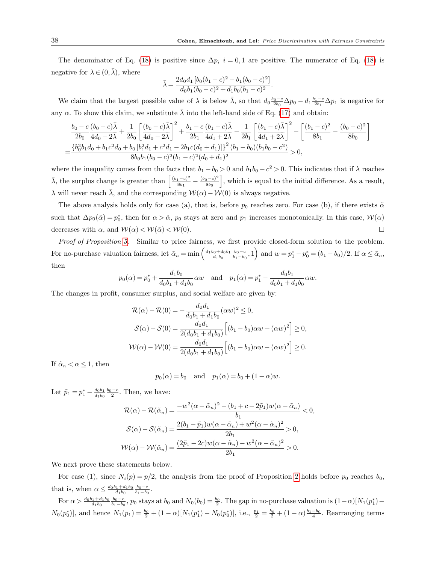.

The denominator of Eq. (18) is positive since  $\Delta p_i$  i = 0,1 are positive. The numerator of Eq. (18) is negative for  $\lambda \in (0, \bar{\lambda})$ , where

$$
\bar{\lambda} = \frac{2d_0d_1\left[b_0(b_1-c)^2 - b_1(b_0-c)^2\right]}{d_0b_1(b_0-c)^2 + d_1b_0(b_1-c)^2}
$$

We claim that the largest possible value of  $\lambda$  is below  $\bar{\lambda}$ , so that  $d_0 \frac{b_0-c}{2b_0} \Delta p_0 - d_1 \frac{b_1-c}{2b_1} \Delta p_1$  is negative for any  $\alpha$ . To show this claim, we substitute  $\overline{\lambda}$  into the left-hand side of Eq. (17) and obtain:

$$
\frac{b_0 - c}{2b_0} \frac{(b_0 - c)\bar{\lambda}}{4d_0 - 2\bar{\lambda}} + \frac{1}{2b_0} \left[ \frac{(b_0 - c)\bar{\lambda}}{4d_0 - 2\bar{\lambda}} \right]^2 + \frac{b_1 - c}{2b_1} \frac{(b_1 - c)\bar{\lambda}}{4d_1 + 2\bar{\lambda}} - \frac{1}{2b_1} \left[ \frac{(b_1 - c)\bar{\lambda}}{4d_1 + 2\bar{\lambda}} \right]^2 - \left[ \frac{(b_1 - c)^2}{8b_1} - \frac{(b_0 - c)^2}{8b_0} \right]
$$
  
= 
$$
\frac{\{b_0^2b_1d_0 + b_1c^2d_0 + b_0\left[b_1^2d_1 + c^2d_1 - 2b_1c(d_0 + d_1)\right]\}^2(b_1 - b_0)(b_1b_0 - c^2)}{8b_0b_1(b_0 - c)^2(b_1 - c)^2(d_0 + d_1)^2} > 0,
$$

where the inequality comes from the facts that  $b_1 - b_0 > 0$  and  $b_1b_0 - c^2 > 0$ . This indicates that if  $\lambda$  reaches  $\bar{\lambda}$ , the surplus change is greater than  $\left[\frac{(b_1-c)^2}{8b_1}\right]$  $\frac{(b_0-c)^2}{8b_1} - \frac{(b_0-c)^2}{8b_0}$  $\frac{(3-\epsilon)^2}{8b_0}$ , which is equal to the initial difference. As a result,  $\lambda$  will never reach  $\overline{\lambda}$ , and the corresponding  $W(\alpha) - W(0)$  is always negative.

The above analysis holds only for case (a), that is, before  $p_0$  reaches zero. For case (b), if there exists  $\tilde{\alpha}$ such that  $\Delta p_0(\tilde{\alpha}) = p_0^*$ , then for  $\alpha > \tilde{\alpha}$ ,  $p_0$  stays at zero and  $p_1$  increases monotonically. In this case,  $W(\alpha)$ decreases with  $\alpha$ , and  $\mathcal{W}(\alpha) < \mathcal{W}(\tilde{\alpha}) < \mathcal{W}(0)$ .

Proof of Proposition 5. Similar to price fairness, we first provide closed-form solution to the problem. For no-purchase valuation fairness, let  $\tilde{\alpha}_n = \min\left(\frac{d_1b_0 + d_0b_1}{d_1b_0} \frac{b_0 - c}{b_1 - b_0}, 1\right)$  and  $w = p_1^* - p_0^* = (b_1 - b_0)/2$ . If  $\alpha \leq \tilde{\alpha}_n$ , then

$$
p_0(\alpha) = p_0^* + \frac{d_1b_0}{d_0b_1 + d_1b_0}\alpha w
$$
 and  $p_1(\alpha) = p_1^* - \frac{d_0b_1}{d_0b_1 + d_1b_0}\alpha w$ .

The changes in profit, consumer surplus, and social welfare are given by:

$$
\mathcal{R}(\alpha) - \mathcal{R}(0) = -\frac{d_0 d_1}{d_0 b_1 + d_1 b_0} (\alpha w)^2 \le 0,
$$
  
\n
$$
\mathcal{S}(\alpha) - \mathcal{S}(0) = \frac{d_0 d_1}{2(d_0 b_1 + d_1 b_0)} \Big[ (b_1 - b_0) \alpha w + (\alpha w)^2 \Big] \ge 0,
$$
  
\n
$$
\mathcal{W}(\alpha) - \mathcal{W}(0) = \frac{d_0 d_1}{2(d_0 b_1 + d_1 b_0)} \Big[ (b_1 - b_0) \alpha w - (\alpha w)^2 \Big] \ge 0.
$$

If  $\tilde{\alpha}_n < \alpha \leq 1$ , then

$$
p_0(\alpha) = b_0
$$
 and  $p_1(\alpha) = b_0 + (1 - \alpha)w$ .

Let  $\tilde{p}_1 = p_1^* - \frac{d_0 b_1}{d_1 b_0} \frac{b_0 - c}{2}$ . Then, we have:

$$
\mathcal{R}(\alpha) - \mathcal{R}(\tilde{\alpha}_n) = \frac{-w^2(\alpha - \tilde{\alpha}_n)^2 - (b_1 + c - 2\tilde{p}_1)w(\alpha - \tilde{\alpha}_n)}{b_1} < 0,
$$
  
\n
$$
\mathcal{S}(\alpha) - \mathcal{S}(\tilde{\alpha}_n) = \frac{2(b_1 - \tilde{p}_1)w(\alpha - \tilde{\alpha}_n) + w^2(\alpha - \tilde{\alpha}_n)^2}{2b_1} > 0,
$$
  
\n
$$
\mathcal{W}(\alpha) - \mathcal{W}(\tilde{\alpha}_n) = \frac{(2\tilde{p}_1 - 2c)w(\alpha - \tilde{\alpha}_n) - w^2(\alpha - \tilde{\alpha}_n)^2}{2b_1} > 0.
$$

We next prove these statements below.

For case (1), since  $N_i(p) = p/2$ , the analysis from the proof of Proposition 2 holds before  $p_0$  reaches  $b_0$ , that is, when  $\alpha \leq \frac{d_0b_1 + d_1b_0}{d_1b_0} \frac{b_0 - c}{b_1 - b_0}$ .

For  $\alpha > \frac{d_0b_1+d_1b_0}{d_1b_0} \frac{b_0-c}{b_1-b_0}$ ,  $p_0$  stays at  $b_0$  and  $N_0(b_0) = \frac{b_0}{2}$ . The gap in no-purchase valuation is  $(1-\alpha)[N_1(p_1^*)$  $N_0(p_0^*)$ , and hence  $N_1(p_1) = \frac{b_0}{2} + (1 - \alpha)[N_1(p_1^*) - N_0(p_0^*)]$ , i.e.,  $\frac{p_1}{2} = \frac{b_0}{2} + (1 - \alpha)\frac{b_1 - b_0}{4}$ . Rearranging terms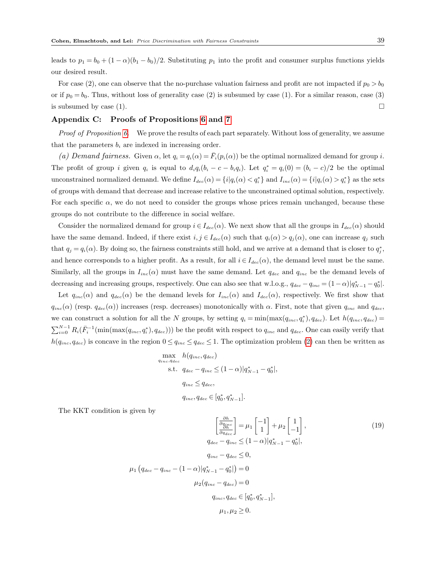leads to  $p_1 = b_0 + (1 - \alpha)(b_1 - b_0)/2$ . Substituting  $p_1$  into the profit and consumer surplus functions yields our desired result.

For case (2), one can observe that the no-purchase valuation fairness and profit are not impacted if  $p_0 > b_0$ or if  $p_0 = b_0$ . Thus, without loss of generality case (2) is subsumed by case (1). For a similar reason, case (3) is subsumed by case (1).

#### Appendix C: Proofs of Propositions 6 and 7

Proof of Proposition 6. We prove the results of each part separately. Without loss of generality, we assume that the parameters  $b_i$  are indexed in increasing order.

(a) Demand fairness. Given  $\alpha$ , let  $q_i = q_i(\alpha) = \overline{F}_i(p_i(\alpha))$  be the optimal normalized demand for group i. The profit of group i given  $q_i$  is equal to  $d_i q_i (b_i - c - b_i q_i)$ . Let  $q_i^* = q_i(0) = (b_i - c)/2$  be the optimal unconstrained normalized demand. We define  $I_{dec}(\alpha) = \{i | q_i(\alpha) < q_i^* \}$  and  $I_{inc}(\alpha) = \{i | q_i(\alpha) > q_i^* \}$  as the sets of groups with demand that decrease and increase relative to the unconstrained optimal solution, respectively. For each specific  $\alpha$ , we do not need to consider the groups whose prices remain unchanged, because these groups do not contribute to the difference in social welfare.

Consider the normalized demand for group  $i \in I_{dec}(\alpha)$ . We next show that all the groups in  $I_{dec}(\alpha)$  should have the same demand. Indeed, if there exist  $i, j \in I_{dec}(\alpha)$  such that  $q_i(\alpha) > q_j(\alpha)$ , one can increase  $q_j$  such that  $q_j = q_i(\alpha)$ . By doing so, the fairness constraints still hold, and we arrive at a demand that is closer to  $q_j^*$ , and hence corresponds to a higher profit. As a result, for all  $i \in I_{dec}(\alpha)$ , the demand level must be the same. Similarly, all the groups in  $I_{inc}(\alpha)$  must have the same demand. Let  $q_{dec}$  and  $q_{inc}$  be the demand levels of decreasing and increasing groups, respectively. One can also see that w.l.o.g.,  $q_{dec} - q_{inc} = (1 - \alpha)|q_{N-1}^* - q_0^*|$ .

Let  $q_{inc}(\alpha)$  and  $q_{dec}(\alpha)$  be the demand levels for  $I_{inc}(\alpha)$  and  $I_{dec}(\alpha)$ , respectively. We first show that  $q_{inc}(\alpha)$  (resp.  $q_{dec}(\alpha)$ ) increases (resp. decreases) monotonically with  $\alpha$ . First, note that given  $q_{inc}$  and  $q_{dec}$ , we can construct a solution for all the N groups, by setting  $q_i = \min(\max(q_{inc}, q_i^*), q_{dec})$ . Let  $h(q_{inc}, q_{dec}) =$  $\sum_{i=0}^{N-1} R_i(\bar{F}_i^{-1}(\min(\max(q_{inc}, q_i^*), q_{dec})))$  be the profit with respect to  $q_{inc}$  and  $q_{dec}$ . One can easily verify that  $h(q_{inc}, q_{dec})$  is concave in the region  $0 \leq q_{inc} \leq q_{dec} \leq 1$ . The optimization problem (2) can then be written as

$$
\max_{q_{inc}, q_{dec}} h(q_{inc}, q_{dec})
$$
  
s.t.  $q_{dec} - q_{inc} \le (1 - \alpha)|q^*_{N-1} - q^*_{0}|,$   
 $q_{inc} \le q_{dec},$   
 $q_{inc}, q_{dec} \in [q^*_{0}, q^*_{N-1}].$ 

The KKT condition is given by

$$
\left[\frac{\frac{\partial h}{\partial q_{inc}}}{\frac{\partial h}{\partial q_{dec}}}\right] = \mu_1 \begin{bmatrix} -1 \\ 1 \end{bmatrix} + \mu_2 \begin{bmatrix} 1 \\ -1 \end{bmatrix},
$$
\n
$$
q_{dec} - q_{inc} \le (1 - \alpha)|q_{N-1}^* - q_0^*|,
$$
\n
$$
q_{inc} - q_{dec} \le 0,
$$
\n
$$
\mu_1 \left(q_{dec} - q_{inc} - (1 - \alpha)|q_{N-1}^* - q_0^*|\right) = 0
$$
\n
$$
\mu_2 (q_{inc} - q_{dec}) = 0
$$
\n
$$
q_{inc}, q_{dec} \in [q_0^*, q_{N-1}^*],
$$
\n
$$
\mu_1, \mu_2 \ge 0.
$$
\n(19)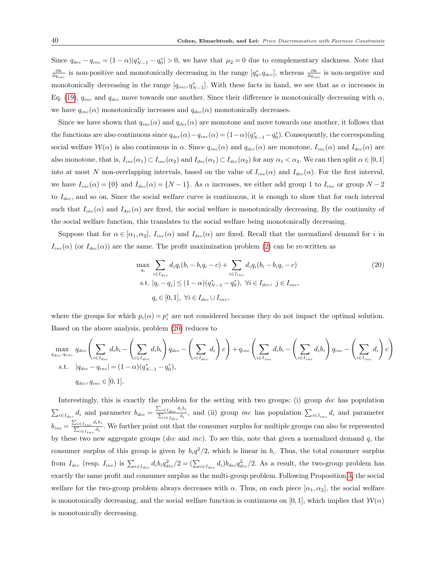Since  $q_{dec} - q_{inc} = (1 - \alpha)|q^*_{N-1} - q^*_{0}| > 0$ , we have that  $\mu_2 = 0$  due to complementary slackness. Note that  $\frac{\partial h}{\partial q_{inc}}$  is non-positive and monotonically decreasing in the range  $[q_0^*, q_{dec}]$ , whereas  $\frac{\partial h}{\partial q_{inc}}$  is non-negative and monotonically decreasing in the range  $[q_{inc}, q^*_{N-1}]$ . With these facts in hand, we see that as  $\alpha$  increases in Eq. (19),  $q_{inc}$  and  $q_{dec}$  move towards one another. Since their difference is monotonically decreasing with  $\alpha$ , we have  $q_{inc}(\alpha)$  monotonically increases and  $q_{dec}(\alpha)$  monotonically decreases.

Since we have shown that  $q_{inc}(\alpha)$  and  $q_{dec}(\alpha)$  are monotone and move towards one another, it follows that the functions are also continuous since  $q_{dec}(\alpha) - q_{inc}(\alpha) = (1 - \alpha)(q_{N-1}^* - q_0^*)$ . Consequently, the corresponding social welfare  $W(\alpha)$  is also continuous in  $\alpha$ . Since  $q_{inc}(\alpha)$  and  $q_{dec}(\alpha)$  are monotone,  $I_{inc}(\alpha)$  and  $I_{dec}(\alpha)$  are also monotone, that is,  $I_{inc}(\alpha_1) \subset I_{inc}(\alpha_2)$  and  $I_{dec}(\alpha_1) \subset I_{dec}(\alpha_2)$  for any  $\alpha_1 < \alpha_2$ . We can then split  $\alpha \in [0,1]$ into at most N non-overlapping intervals, based on the value of  $I_{inc}(\alpha)$  and  $I_{dec}(\alpha)$ . For the first interval, we have  $I_{inc}(\alpha) = \{0\}$  and  $I_{dec}(\alpha) = \{N-1\}$ . As  $\alpha$  increases, we either add group 1 to  $I_{inc}$  or group  $N-2$ to  $I_{dec}$ , and so on. Since the social welfare curve is continuous, it is enough to show that for each interval such that  $I_{inc}(\alpha)$  and  $I_{dec}(\alpha)$  are fixed, the social welfare is monotonically decreasing. By the continuity of the social welfare function, this translates to the social welfare being monotonically decreasing.

Suppose that for  $\alpha \in [\alpha_1, \alpha_2]$ ,  $I_{inc}(\alpha)$  and  $I_{dec}(\alpha)$  are fixed. Recall that the normalized demand for i in  $I_{inc}(\alpha)$  (or  $I_{dec}(\alpha)$ ) are the same. The profit maximization problem (2) can be re-written as

$$
\max_{q_i} \sum_{i \in I_{dec}} d_i q_i (b_i - b_i q_i - c) + \sum_{i \in I_{inc}} d_i q_i (b_i - b_i q_i - c)
$$
\n
$$
\text{s.t. } |q_i - q_j| \le (1 - \alpha)(q_{N-1}^* - q_0^*), \ \forall i \in I_{dec}, \ j \in I_{inc},
$$
\n
$$
q_i \in [0, 1], \ \forall i \in I_{dec} \cup I_{inc},
$$
\n(20)

where the groups for which  $p_i(\alpha) = p_i^*$  are not considered because they do not impact the optimal solution. Based on the above analysis, problem (20) reduces to

$$
\max_{q_{dec}, q_{inc}} q_{dec} \left( \sum_{i \in I_{dec}} d_i b_i - \left( \sum_{i \in I_{dec}} d_i b_i \right) q_{dec} - \left( \sum_{i \in I_{dec}} d_i \right) c \right) + q_{inc} \left( \sum_{i \in I_{inc}} d_i b_i - \left( \sum_{i \in I_{inc}} d_i b_i \right) q_{inc} - \left( \sum_{i \in I_{inc}} d_i \right) c \right)
$$
  
s.t.  $|q_{dec} - q_{inc}| = (1 - \alpha)(q_{N-1}^* - q_0^*),$   
 $q_{dec}, q_{inc} \in [0, 1].$ 

Interestingly, this is exactly the problem for the setting with two groups: (i) group dec has population  $\sum_{i \in I_{dec}} d_i$  and parameter  $b_{dec} = \frac{\sum_{i \in I_{dec}} d_i b_i}{\sum_{i \in I_{dec}} d_i}$  $\sum_{i\in I_{dec}}^{i\in I_{dec}} d_i$ , and (ii) group *inc* has population  $\sum_{i\in I_{inc}} d_i$  and parameter  $b_{inc} = \frac{\sum_{i \in I_{inc}} d_i b_i}{\sum_{i \in I_{inc}} d_i}$  $\frac{\sum_{i\in I_{inc}}a_i}{\sum_{i\in I_{inc}}a_i}$ . We further point out that the consumer surplus for multiple groups can also be represented by these two new aggregate groups (dec and inc). To see this, note that given a normalized demand  $q$ , the consumer surplus of this group is given by  $b_i q^2/2$ , which is linear in  $b_i$ . Thus, the total consumer surplus from  $I_{dec}$  (resp.  $I_{inc}$ ) is  $\sum_{i \in I_{dec}} d_i b_i q_{dec}^2/2 = (\sum_{i \in I_{dec}} d_i) b_{dec} q_{dec}^2/2$ . As a result, the two-group problem has exactly the same profit and consumer surplus as the multi-group problem. Following Proposition 3, the social welfare for the two-group problem always decreases with  $\alpha$ . Thus, on each piece  $[\alpha_1, \alpha_2]$ , the social welfare is monotonically decreasing, and the social welfare function is continuous on [0,1], which implies that  $W(\alpha)$ is monotonically decreasing.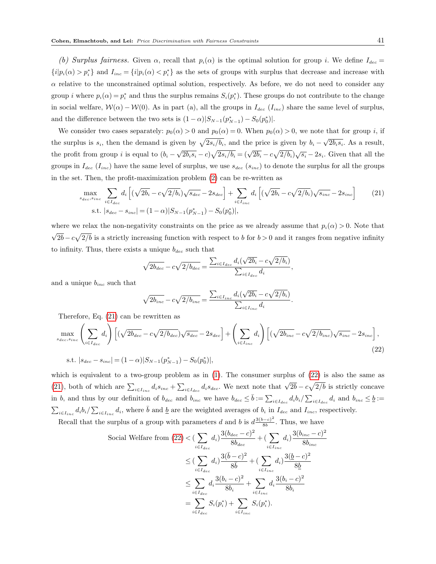(b) Surplus fairness. Given  $\alpha$ , recall that  $p_i(\alpha)$  is the optimal solution for group i. We define  $I_{dec}$  ${i|p_i(\alpha) > p_i^*}$  and  $I_{inc} = {i|p_i(\alpha) < p_i^*}$  as the sets of groups with surplus that decrease and increase with  $\alpha$  relative to the unconstrained optimal solution, respectively. As before, we do not need to consider any group *i* where  $p_i(\alpha) = p_i^*$  and thus the surplus remains  $S_i(p_i^*)$ . These groups do not contribute to the change in social welfare,  $W(\alpha) - W(0)$ . As in part (a), all the groups in  $I_{dec}$  ( $I_{inc}$ ) share the same level of surplus, and the difference between the two sets is  $(1 - \alpha)|S_{N-1}(p_{N-1}^*) - S_0(p_0^*)|$ .

We consider two cases separately:  $p_0(\alpha) > 0$  and  $p_0(\alpha) = 0$ . When  $p_0(\alpha) > 0$ , we note that for group i, if the surplus is  $s_i$ , then the demand is given by  $\sqrt{2s_i/b_i}$ , and the price is given by  $b_i - \sqrt{2b_i s_i}$ . As a result, the profit from group i is equal to  $(b_i - \sqrt{2b_i s_i} - c)\sqrt{2s_i/b_i} = (\sqrt{2b_i} - c\sqrt{2/b_i})\sqrt{s_i} - 2s_i$ . Given that all the groups in  $I_{dec}$  ( $I_{inc}$ ) have the same level of surplus, we use  $s_{dec}$  ( $s_{inc}$ ) to denote the surplus for all the groups in the set. Then, the profit-maximization problem (2) can be re-written as

$$
\max_{s_{dec}, s_{inc}} \sum_{i \in I_{dec}} d_i \left[ (\sqrt{2b_i} - c\sqrt{2/b_i}) \sqrt{s_{dec}} - 2s_{dec} \right] + \sum_{i \in I_{inc}} d_i \left[ (\sqrt{2b_i} - c\sqrt{2/b_i}) \sqrt{s_{inc}} - 2s_{inc} \right] \tag{21}
$$
\n
$$
\text{s.t. } |s_{dec} - s_{inc}| = (1 - \alpha)|S_{N-1}(p_{N-1}^*) - S_0(p_0^*)|,
$$

,

.

where we relax the non-negativity constraints on the price as we already assume that  $p_i(\alpha) > 0$ . Note that √  $\sqrt{2b} - c\sqrt{2/b}$  is a strictly increasing function with respect to b for  $b > 0$  and it ranges from negative infinity to infinity. Thus, there exists a unique  $b_{dec}$  such that

$$
\sqrt{2b_{dec}} - c\sqrt{2/b_{dec}} = \frac{\sum_{i \in I_{dec}} d_i(\sqrt{2b_i} - c\sqrt{2/b_i})}{\sum_{i \in I_{dec}} d_i}
$$

and a unique  $b_{inc}$  such that

$$
\sqrt{2b_{inc}} - c\sqrt{2/b_{inc}} = \frac{\sum_{i \in I_{inc}} d_i(\sqrt{2b_i} - c\sqrt{2/b_i})}{\sum_{i \in I_{inc}} d_i}
$$

Therefore, Eq. (21) can be rewritten as

$$
\max_{s_{dec}, s_{inc}} \left( \sum_{i \in I_{dec}} d_i \right) \left[ (\sqrt{2b_{dec}} - c\sqrt{2/b_{dec}}) \sqrt{s_{dec}} - 2s_{dec} \right] + \left( \sum_{i \in I_{inc}} d_i \right) \left[ (\sqrt{2b_{inc}} - c\sqrt{2/b_{inc}}) \sqrt{s_{inc}} - 2s_{inc} \right],
$$
\n
$$
\text{s.t. } |s_{dec} - s_{inc}| = (1 - \alpha) |S_{N-1}(p_{N-1}^*) - S_0(p_0^*)|,
$$
\n
$$
(22)
$$

which is equivalent to a two-group problem as in  $(1)$ . The consumer surplus of  $(22)$  is also the same as (21), both of which are  $\sum_{i \in I_{inc}} d_i s_{inc} + \sum_{i \in I_{dec}} d_i s_{dec}$ . We next note that  $\sqrt{2b} - c\sqrt{2/b}$  is strictly concave in b, and thus by our definition of  $b_{dec}$  and  $b_{inc}$  we have  $b_{dec} \leq \overline{b} := \sum_{i \in I_{dec}} d_i b_i / \sum_{i \in I_{dec}} d_i$  and  $b_{inc} \leq \underline{b} :=$  $\sum_{i\in I_{inc}}d_ib_i/\sum_{i\in I_{inc}}d_i$ , where  $\bar{b}$  and  $\underline{b}$  are the weighted averages of  $b_i$  in  $I_{dec}$  and  $I_{inc}$ , respectively.  $3(b-c)$ 2

Recall that the surplus of a group with parameters d and b is 
$$
d \frac{3(b-c)^2}{8b}
$$
. Thus, we have

Social Welfare from (22) < \n
$$
\left(\sum_{i \in I_{dec}} d_i\right) \frac{3(b_{dec} - c)^2}{8b_{dec}} + \left(\sum_{i \in I_{inc}} d_i\right) \frac{3(b_{inc} - c)^2}{8b_{inc}}
$$
\n
$$
\leq \left(\sum_{i \in I_{dec}} d_i\right) \frac{3(\bar{b} - c)^2}{8\bar{b}} + \left(\sum_{i \in I_{inc}} d_i\right) \frac{3(\underline{b} - c)^2}{8\underline{b}}
$$
\n
$$
\leq \sum_{i \in I_{dec}} d_i \frac{3(b_i - c)^2}{8b_i} + \sum_{i \in I_{inc}} d_i \frac{3(b_i - c)^2}{8b_i}
$$
\n
$$
= \sum_{i \in I_{dec}} S_i(p_i^*) + \sum_{i \in I_{inc}} S_i(p_i^*).
$$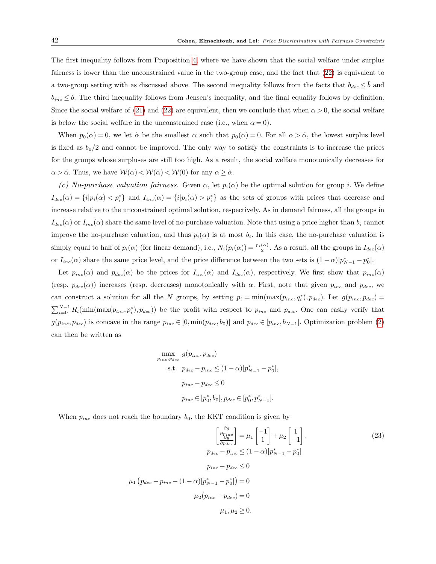The first inequality follows from Proposition 4, where we have shown that the social welfare under surplus fairness is lower than the unconstrained value in the two-group case, and the fact that (22) is equivalent to a two-group setting with as discussed above. The second inequality follows from the facts that  $b_{dec} \leq \overline{b}$  and  $b_{inc} \leq b$ . The third inequality follows from Jensen's inequality, and the final equality follows by definition. Since the social welfare of (21) and (22) are equivalent, then we conclude that when  $\alpha > 0$ , the social welfare is below the social welfare in the unconstrained case (i.e., when  $\alpha = 0$ ).

When  $p_0(\alpha) = 0$ , we let  $\tilde{\alpha}$  be the smallest  $\alpha$  such that  $p_0(\alpha) = 0$ . For all  $\alpha > \tilde{\alpha}$ , the lowest surplus level is fixed as  $b_0/2$  and cannot be improved. The only way to satisfy the constraints is to increase the prices for the groups whose surpluses are still too high. As a result, the social welfare monotonically decreases for  $\alpha > \tilde{\alpha}$ . Thus, we have  $\mathcal{W}(\alpha) < \mathcal{W}(\tilde{\alpha}) < \mathcal{W}(0)$  for any  $\alpha \geq \tilde{\alpha}$ .

(c) No-purchase valuation fairness. Given  $\alpha$ , let  $p_i(\alpha)$  be the optimal solution for group i. We define  $I_{dec}(\alpha) = \{i|p_i(\alpha) < p_i^*\}$  and  $I_{inc}(\alpha) = \{i|p_i(\alpha) > p_i^*\}$  as the sets of groups with prices that decrease and increase relative to the unconstrained optimal solution, respectively. As in demand fairness, all the groups in  $I_{dec}(\alpha)$  or  $I_{inc}(\alpha)$  share the same level of no-purchase valuation. Note that using a price higher than  $b_i$  cannot improve the no-purchase valuation, and thus  $p_i(\alpha)$  is at most  $b_i$ . In this case, the no-purchase valuation is simply equal to half of  $p_i(\alpha)$  (for linear demand), i.e.,  $N_i(p_i(\alpha)) = \frac{p_i(\alpha)}{2}$ . As a result, all the groups in  $I_{dec}(\alpha)$ or  $I_{inc}(\alpha)$  share the same price level, and the price difference between the two sets is  $(1-\alpha)|p^{*}_{N-1}-p^{*}_{0}|$ .

Let  $p_{inc}(\alpha)$  and  $p_{dec}(\alpha)$  be the prices for  $I_{inc}(\alpha)$  and  $I_{dec}(\alpha)$ , respectively. We first show that  $p_{inc}(\alpha)$ (resp.  $p_{dec}(\alpha)$ ) increases (resp. decreases) monotonically with  $\alpha$ . First, note that given  $p_{inc}$  and  $p_{dec}$ , we can construct a solution for all the N groups, by setting  $p_i = \min(\max(p_{inc}, q_i^*), p_{dec})$ . Let  $g(p_{inc}, p_{dec}) =$  $\sum_{i=0}^{N-1} R_i(\min(\max(p_{inc}, p_i^*), p_{dec}))$  be the profit with respect to  $p_{inc}$  and  $p_{dec}$ . One can easily verify that  $g(p_{inc}, p_{dec})$  is concave in the range  $p_{inc} \in [0, \min(p_{dec}, b_0)]$  and  $p_{dec} \in [p_{inc}, b_{N-1}]$ . Optimization problem (2) can then be written as

$$
\max_{p_{inc}, p_{dec}} g(p_{inc}, p_{dec})
$$
  
s.t.  $p_{dec} - p_{inc} \le (1 - \alpha) |p^*_{N-1} - p^*_{0}|$ ,  
 $p_{inc} - p_{dec} \le 0$   
 $p_{inc} \in [p^*_0, b_0], p_{dec} \in [p^*_0, p^*_{N-1}].$ 

When  $p_{inc}$  does not reach the boundary  $b_0$ , the KKT condition is given by

$$
\left[\frac{\frac{\partial g}{\partial p_{inc}}}{\frac{\partial g}{\partial p_{dec}}}\right] = \mu_1 \left[\frac{-1}{1}\right] + \mu_2 \left[\frac{1}{-1}\right],
$$
\n
$$
p_{dec} - p_{inc} \le (1 - \alpha)|p_{N-1}^* - p_0^*|
$$
\n
$$
p_{inc} - p_{dec} \le 0
$$
\n
$$
\mu_1 \left(p_{dec} - p_{inc} - (1 - \alpha)|p_{N-1}^* - p_0^*|\right) = 0
$$
\n
$$
\mu_2(p_{inc} - p_{dec}) = 0
$$
\n
$$
\mu_1, \mu_2 \ge 0.
$$
\n(23)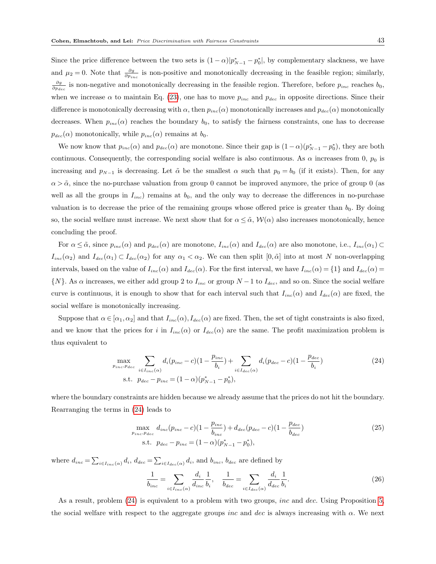Since the price difference between the two sets is  $(1-\alpha)|p_{N-1}^* - p_0^*|$ , by complementary slackness, we have and  $\mu_2 = 0$ . Note that  $\frac{\partial g}{\partial p_{inc}}$  is non-positive and monotonically decreasing in the feasible region; similarly,  $\frac{\partial g}{\partial p_{dec}}$  is non-negative and monotonically decreasing in the feasible region. Therefore, before  $p_{inc}$  reaches  $b_0$ , when we increase  $\alpha$  to maintain Eq. (23), one has to move  $p_{inc}$  and  $p_{dec}$  in opposite directions. Since their difference is monotonically decreasing with  $\alpha$ , then  $p_{inc}(\alpha)$  monotonically increases and  $p_{dec}(\alpha)$  monotonically decreases. When  $p_{inc}(\alpha)$  reaches the boundary  $b_0$ , to satisfy the fairness constraints, one has to decrease  $p_{dec}(\alpha)$  monotonically, while  $p_{inc}(\alpha)$  remains at  $b_0$ .

We now know that  $p_{inc}(\alpha)$  and  $p_{dec}(\alpha)$  are monotone. Since their gap is  $(1-\alpha)(p_{N-1}^* - p_0^*)$ , they are both continuous. Consequently, the corresponding social welfare is also continuous. As  $\alpha$  increases from 0,  $p_0$  is increasing and  $p_{N-1}$  is decreasing. Let  $\tilde{\alpha}$  be the smallest  $\alpha$  such that  $p_0 = b_0$  (if it exists). Then, for any  $\alpha > \tilde{\alpha}$ , since the no-purchase valuation from group 0 cannot be improved anymore, the price of group 0 (as well as all the groups in  $I_{inc}$ ) remains at  $b_0$ , and the only way to decrease the differences in no-purchase valuation is to decrease the price of the remaining groups whose offered price is greater than  $b_0$ . By doing so, the social welfare must increase. We next show that for  $\alpha \leq \tilde{\alpha}$ ,  $\mathcal{W}(\alpha)$  also increases monotonically, hence concluding the proof.

For  $\alpha \leq \tilde{\alpha}$ , since  $p_{inc}(\alpha)$  and  $p_{dec}(\alpha)$  are monotone,  $I_{inc}(\alpha)$  and  $I_{dec}(\alpha)$  are also monotone, i.e.,  $I_{inc}(\alpha_1) \subset$  $I_{inc}(\alpha_2)$  and  $I_{dec}(\alpha_1) \subset I_{dec}(\alpha_2)$  for any  $\alpha_1 < \alpha_2$ . We can then split  $[0, \tilde{\alpha}]$  into at most N non-overlapping intervals, based on the value of  $I_{inc}(\alpha)$  and  $I_{dec}(\alpha)$ . For the first interval, we have  $I_{inc}(\alpha) = \{1\}$  and  $I_{dec}(\alpha) =$  $\{N\}$ . As  $\alpha$  increases, we either add group 2 to  $I_{inc}$  or group  $N-1$  to  $I_{dec}$ , and so on. Since the social welfare curve is continuous, it is enough to show that for each interval such that  $I_{inc}(\alpha)$  and  $I_{dec}(\alpha)$  are fixed, the social welfare is monotonically increasing.

Suppose that  $\alpha \in [\alpha_1, \alpha_2]$  and that  $I_{inc}(\alpha)$ ,  $I_{dec}(\alpha)$  are fixed. Then, the set of tight constraints is also fixed, and we know that the prices for i in  $I_{inc}(\alpha)$  or  $I_{dec}(\alpha)$  are the same. The profit maximization problem is thus equivalent to

$$
\max_{p_{inc}, p_{dec}} \sum_{i \in I_{inc}(\alpha)} d_i (p_{inc} - c)(1 - \frac{p_{inc}}{b_i}) + \sum_{i \in I_{dec}(\alpha)} d_i (p_{dec} - c)(1 - \frac{p_{dec}}{b_i})
$$
\n
$$
\text{s.t. } p_{dec} - p_{inc} = (1 - \alpha)(p_{N-1}^* - p_0^*),
$$
\n(24)

where the boundary constraints are hidden because we already assume that the prices do not hit the boundary. Rearranging the terms in (24) leads to

$$
\max_{p_{inc}, p_{dec}} d_{inc}(p_{inc} - c)(1 - \frac{p_{inc}}{b_{inc}}) + d_{dec}(p_{dec} - c)(1 - \frac{p_{dec}}{b_{dec}})
$$
\n
$$
\text{s.t. } p_{dec} - p_{inc} = (1 - \alpha)(p_{N-1}^* - p_0^*),
$$
\n(25)

where  $d_{inc} = \sum_{i \in I_{inc}(\alpha)} d_i$ ,  $d_{dec} = \sum_{i \in I_{dec}(\alpha)} d_i$ , and  $b_{inc}$ ,  $b_{dec}$  are defined by

$$
\frac{1}{b_{inc}} = \sum_{i \in I_{inc}(\alpha)} \frac{d_i}{d_{inc}} \frac{1}{b_i}, \quad \frac{1}{b_{dec}} = \sum_{i \in I_{dec}(\alpha)} \frac{d_i}{d_{dec}} \frac{1}{b_i}.
$$
\n(26)

As a result, problem  $(24)$  is equivalent to a problem with two groups, *inc* and *dec*. Using Proposition 5, the social welfare with respect to the aggregate groups *inc* and dec is always increasing with  $\alpha$ . We next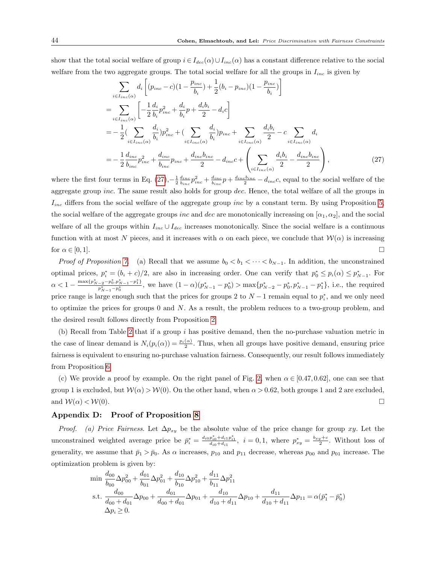show that the total social welfare of group  $i \in I_{dec}(\alpha) \cup I_{inc}(\alpha)$  has a constant difference relative to the social welfare from the two aggregate groups. The total social welfare for all the groups in  $I_{inc}$  is given by

$$
\sum_{i \in I_{inc}(\alpha)} d_i \left[ (p_{inc} - c)(1 - \frac{p_{inc}}{b_i}) + \frac{1}{2} (b_i - p_{inc})(1 - \frac{p_{inc}}{b_i}) \right]
$$
\n
$$
= \sum_{i \in I_{inc}(\alpha)} \left[ -\frac{1}{2} \frac{d_i}{b_i} p_{inc}^2 + \frac{d_i}{b_i} p + \frac{d_i b_i}{2} - d_i c \right]
$$
\n
$$
= -\frac{1}{2} (\sum_{i \in I_{inc}(\alpha)} \frac{d_i}{b_i}) p_{inc}^2 + (\sum_{i \in I_{inc}(\alpha)} \frac{d_i}{b_i}) p_{inc} + \sum_{i \in I_{inc}(\alpha)} \frac{d_i b_i}{2} - c \sum_{i \in I_{inc}(\alpha)} d_i
$$
\n
$$
= -\frac{1}{2} \frac{d_{inc}}{b_{inc}} p_{inc}^2 + \frac{d_{inc}}{b_{inc}} p_{inc} + \frac{d_{inc} b_{inc}}{2} - d_{inc} c + \left( \sum_{i \in I_{inc}(\alpha)} \frac{d_i b_i}{2} - \frac{d_{inc} b_{inc}}{2} \right), \tag{27}
$$

where the first four terms in Eq.  $(27)$ ,  $-\frac{1}{2} \frac{d_{inc}}{b_{inc}} p_{inc}^2 + \frac{d_{inc}}{b_{inc}} p + \frac{d_{inc}b_{inc}}{2} - d_{inc}c$ , equal to the social welfare of the aggregate group *inc*. The same result also holds for group dec. Hence, the total welfare of all the groups in  $I_{inc}$  differs from the social welfare of the aggregate group inc by a constant term. By using Proposition 5, the social welfare of the aggregate groups inc and dec are monotonically increasing on  $[\alpha_1, \alpha_2]$ , and the social welfare of all the groups within  $I_{inc} \cup I_{dec}$  increases monotonically. Since the social welfare is a continuous function with at most N pieces, and it increases with  $\alpha$  on each piece, we conclude that  $\mathcal{W}(\alpha)$  is increasing for  $\alpha \in [0,1]$ .

Proof of Proposition 7. (a) Recall that we assume  $b_0 < b_1 < \cdots < b_{N-1}$ . In addition, the unconstrained optimal prices,  $p_i^* = (b_i + c)/2$ , are also in increasing order. One can verify that  $p_0^* \leq p_i(\alpha) \leq p_{N-1}^*$ . For  $\alpha < 1 - \frac{\max\{p_{N-2}^* - p_0^*, p_{N-1}^* - p_1^*\}}{p_{N-1}^*}$  $\frac{(-2^{-p_0,p_{N-1}-p_1)}}{p_{N-1}^* - p_0^*}$ , we have  $(1-\alpha)(p_{N-1}^* - p_0^*) > \max\{p_{N-2}^* - p_0^*, p_{N-1}^* - p_1^*\}$ , i.e., the required price range is large enough such that the prices for groups 2 to  $N-1$  remain equal to  $p_i^*$ , and we only need to optimize the prices for groups  $0$  and  $N$ . As a result, the problem reduces to a two-group problem, and the desired result follows directly from Proposition 2.

(b) Recall from Table 2 that if a group i has positive demand, then the no-purchase valuation metric in the case of linear demand is  $N_i(p_i(\alpha)) = \frac{p_i(\alpha)}{2}$ . Thus, when all groups have positive demand, ensuring price fairness is equivalent to ensuring no-purchase valuation fairness. Consequently, our result follows immediately from Proposition 6.

(c) We provide a proof by example. On the right panel of Fig. 2, when  $\alpha \in [0.47, 0.62]$ , one can see that group 1 is excluded, but  $W(\alpha) > W(0)$ . On the other hand, when  $\alpha > 0.62$ , both groups 1 and 2 are excluded, and  $W(\alpha) < W(0)$ .

#### Appendix D: Proof of Proposition 8

*Proof.* (a) Price Fairness. Let  $\Delta p_{xy}$  be the absolute value of the price change for group xy. Let the unconstrained weighted average price be  $\bar{p}_i^* = \frac{d_{i0}p_{i0}^* + d_{i1}p_{i1}^*}{d_{i0} + d_{i1}}, i = 0, 1$ , where  $p_{xy}^* = \frac{b_{xy} + c}{2}$ . Without loss of generality, we assume that  $\bar{p}_1 > \bar{p}_0$ . As  $\alpha$  increases,  $p_{10}$  and  $p_{11}$  decrease, whereas  $p_{00}$  and  $p_{01}$  increase. The optimization problem is given by:

$$
\begin{aligned}\n\min \frac{d_{00}}{b_{00}} \Delta p_{00}^2 + \frac{d_{01}}{b_{01}} \Delta p_{01}^2 + \frac{d_{10}}{b_{10}} \Delta p_{10}^2 + \frac{d_{11}}{b_{11}} \Delta p_{11}^2 \\
\text{s.t. } \frac{d_{00}}{d_{00} + d_{01}} \Delta p_{00} + \frac{d_{01}}{d_{00} + d_{01}} \Delta p_{01} + \frac{d_{10}}{d_{10} + d_{11}} \Delta p_{10} + \frac{d_{11}}{d_{10} + d_{11}} \Delta p_{11} &= \alpha (\bar{p}_1^* - \bar{p}_0^*) \\
\Delta p_i &\ge 0.\n\end{aligned}
$$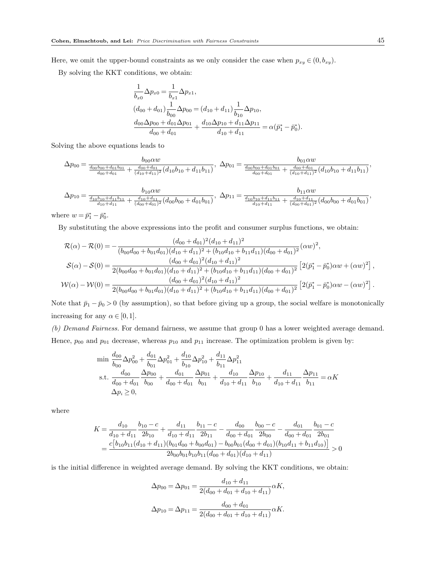Here, we omit the upper-bound constraints as we only consider the case when  $p_{xy} \in (0, b_{xy})$ .

By solving the KKT conditions, we obtain:

$$
\frac{1}{b_{x0}}\Delta p_{x0} = \frac{1}{b_{x1}}\Delta p_{x1},
$$
\n
$$
(d_{00} + d_{01})\frac{1}{b_{00}}\Delta p_{00} = (d_{10} + d_{11})\frac{1}{b_{10}}\Delta p_{10},
$$
\n
$$
\frac{d_{00}\Delta p_{00} + d_{01}\Delta p_{01}}{d_{00} + d_{01}} + \frac{d_{10}\Delta p_{10} + d_{11}\Delta p_{11}}{d_{10} + d_{11}} = \alpha(\bar{p}_1^* - \bar{p}_0^*).
$$

Solving the above equations leads to

$$
\Delta p_{00} = \frac{b_{00}\alpha w}{\frac{d_{00}b_{00} + d_{01}b_{01}}{d_{00} + d_{01}} + \frac{d_{00} + d_{01}}{(d_{10} + d_{11})^2}(d_{10}b_{10} + d_{11}b_{11})}, \ \Delta p_{01} = \frac{b_{01}\alpha w}{\frac{d_{00}b_{00} + d_{01}b_{01}}{d_{00} + d_{01}} + \frac{d_{00} + d_{01}}{(d_{10} + d_{11})^2}(d_{10}b_{10} + d_{11}b_{11})},
$$

$$
\Delta p_{10} = \frac{b_{10}\alpha w}{\frac{d_{10}b_{10} + d_{11}b_{11}}{d_{10} + d_{11}} + \frac{d_{10} + d_{11}}{(d_{00} + d_{01})^2}(d_{00}b_{00} + d_{01}b_{01})}, \ \Delta p_{11} = \frac{b_{11}\alpha w}{\frac{d_{10}b_{10} + d_{11}b_{11}}{d_{10} + d_{11}} + \frac{d_{10} + d_{11}}{(d_{00} + d_{01})^2}(d_{00}b_{00} + d_{01}b_{01})},
$$

where  $w = \bar{p}_1^* - \bar{p}_0^*$ .

By substituting the above expressions into the profit and consumer surplus functions, we obtain:

$$
\mathcal{R}(\alpha) - \mathcal{R}(0) = -\frac{(d_{00} + d_{01})^2 (d_{10} + d_{11})^2}{(b_{00}d_{00} + b_{01}d_{01})(d_{10} + d_{11})^2 + (b_{10}d_{10} + b_{11}d_{11})(d_{00} + d_{01})^2}(\alpha w)^2,
$$
\n
$$
\mathcal{S}(\alpha) - \mathcal{S}(0) = \frac{(d_{00} + d_{01})^2 (d_{10} + d_{11})^2}{2(b_{00}d_{00} + b_{01}d_{01})(d_{10} + d_{11})^2 + (b_{10}d_{10} + b_{11}d_{11})(d_{00} + d_{01})^2} [2(\bar{p}_1^* - \bar{p}_0^*)\alpha w + (\alpha w)^2],
$$
\n
$$
\mathcal{W}(\alpha) - \mathcal{W}(0) = \frac{(d_{00} + d_{01})^2 (d_{10} + d_{11})^2}{2(b_{00}d_{00} + b_{01}d_{01})(d_{10} + d_{11})^2 + (b_{10}d_{10} + b_{11}d_{11})(d_{00} + d_{01})^2} [2(\bar{p}_1^* - \bar{p}_0^*)\alpha w - (\alpha w)^2].
$$

Note that  $\bar{p}_1 - \bar{p}_0 > 0$  (by assumption), so that before giving up a group, the social welfare is monotonically increasing for any  $\alpha \in [0,1]$ .

(b) Demand Fairness. For demand fairness, we assume that group 0 has a lower weighted average demand. Hence,  $p_{00}$  and  $p_{01}$  decrease, whereas  $p_{10}$  and  $p_{11}$  increase. The optimization problem is given by:

$$
\begin{aligned}\n\min \frac{d_{00}}{b_{00}} \Delta p_{00}^2 + \frac{d_{01}}{b_{01}} \Delta p_{01}^2 + \frac{d_{10}}{b_{10}} \Delta p_{10}^2 + \frac{d_{11}}{b_{11}} \Delta p_{11}^2 \\
\text{s.t. } \frac{d_{00}}{d_{00} + d_{01}} \frac{\Delta p_{00}}{b_{00}} + \frac{d_{01}}{d_{00} + d_{01}} \frac{\Delta p_{01}}{b_{01}} + \frac{d_{10}}{d_{10} + d_{11}} \frac{\Delta p_{10}}{b_{10}} + \frac{d_{11}}{d_{10} + d_{11}} \frac{\Delta p_{11}}{b_{11}} &= \alpha K \\
\Delta p_i &\ge 0,\n\end{aligned}
$$

where

$$
K = \frac{d_{10}}{d_{10} + d_{11}} \frac{b_{10} - c}{2b_{10}} + \frac{d_{11}}{d_{10} + d_{11}} \frac{b_{11} - c}{2b_{11}} - \frac{d_{00}}{d_{00} + d_{01}} \frac{b_{00} - c}{2b_{00}} - \frac{d_{01}}{d_{00} + d_{01}} \frac{b_{01} - c}{2b_{01}} = \frac{c[b_{10}b_{11}(d_{10} + d_{11})(b_{01}d_{00} + b_{00}d_{01}) - b_{00}b_{01}(d_{00} + d_{01})(b_{10}d_{11} + b_{11}d_{10})]}{2b_{00}b_{01}b_{10}b_{11}(d_{00} + d_{01})(d_{10} + d_{11})} > 0
$$

is the initial difference in weighted average demand. By solving the KKT conditions, we obtain:

$$
\Delta p_{00} = \Delta p_{01} = \frac{d_{10} + d_{11}}{2(d_{00} + d_{01} + d_{10} + d_{11})} \alpha K,
$$
  

$$
\Delta p_{10} = \Delta p_{11} = \frac{d_{00} + d_{01}}{2(d_{00} + d_{01} + d_{10} + d_{11})} \alpha K.
$$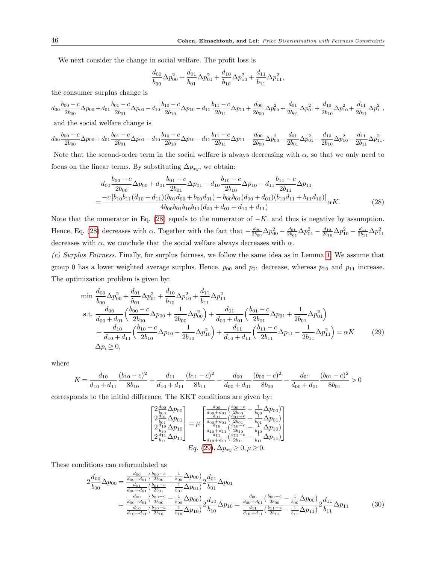We next consider the change in social welfare. The profit loss is

$$
\frac{d_{00}}{b_{00}}\Delta p_{00}^2 + \frac{d_{01}}{b_{01}}\Delta p_{01}^2 + \frac{d_{10}}{b_{10}}\Delta p_{10}^2 + \frac{d_{11}}{b_{11}}\Delta p_{11}^2,
$$

the consumer surplus change is

$$
d_{00}\frac{b_{00} - c}{2b_{00}}\Delta p_{00} + d_{01}\frac{b_{01} - c}{2b_{01}}\Delta p_{01} - d_{10}\frac{b_{10} - c}{2b_{10}}\Delta p_{10} - d_{11}\frac{b_{11} - c}{2b_{11}}\Delta p_{11} + \frac{d_{00}}{2b_{00}}\Delta p_{00}^2 + \frac{d_{01}}{2b_{01}}\Delta p_{01}^2 + \frac{d_{10}}{2b_{10}}\Delta p_{10}^2 + \frac{d_{11}}{2b_{11}}\Delta p_{11}^2
$$

and the social welfare change is

$$
d_{00}\frac{b_{00} - c}{2b_{00}}\Delta p_{00} + d_{01}\frac{b_{01} - c}{2b_{01}}\Delta p_{01} - d_{10}\frac{b_{10} - c}{2b_{10}}\Delta p_{10} - d_{11}\frac{b_{11} - c}{2b_{11}}\Delta p_{11} - \frac{d_{00}}{2b_{00}}\Delta p_{00}^2 - \frac{d_{01}}{2b_{01}}\Delta p_{01}^2 - \frac{d_{10}}{2b_{10}}\Delta p_{10}^2 - \frac{d_{11}}{2b_{11}}\Delta p_{11}^2.
$$

Note that the second-order term in the social welfare is always decreasing with  $\alpha$ , so that we only need to focus on the linear terms. By substituting  $\Delta p_{xy}$ , we obtain:

$$
d_{00}\frac{b_{00} - c}{2b_{00}}\Delta p_{00} + d_{01}\frac{b_{01} - c}{2b_{01}}\Delta p_{01} - d_{10}\frac{b_{10} - c}{2b_{10}}\Delta p_{10} - d_{11}\frac{b_{11} - c}{2b_{11}}\Delta p_{11}
$$
  
= 
$$
\frac{-c[b_{10}b_{11}(d_{10} + d_{11})(b_{01}d_{00} + b_{00}d_{01}) - b_{00}b_{01}(d_{00} + d_{01})(b_{10}d_{11} + b_{11}d_{10})]}{4b_{00}b_{01}b_{10}b_{11}(d_{00} + d_{01} + d_{10} + d_{11})}\alpha K.
$$
 (28)

Note that the numerator in Eq. (28) equals to the numerator of  $-K$ , and thus is negative by assumption. Hence, Eq. (28) decreases with  $\alpha$ . Together with the fact that  $-\frac{d_{00}}{2b_{00}}\Delta p_{00}^2 - \frac{d_{01}}{2b_{01}}\Delta p_{01}^2 - \frac{d_{10}}{2b_{10}}\Delta p_{10}^2 - \frac{d_{11}}{2b_{11}}\Delta p_{11}^2$ decreases with  $\alpha$ , we conclude that the social welfare always decreases with  $\alpha$ .

(c) Surplus Fairness. Finally, for surplus fairness, we follow the same idea as in Lemma 1. We assume that group 0 has a lower weighted average surplus. Hence,  $p_{00}$  and  $p_{01}$  decrease, whereas  $p_{10}$  and  $p_{11}$  increase. The optimization problem is given by:

$$
\min \frac{d_{00}}{b_{00}} \Delta p_{00}^2 + \frac{d_{01}}{b_{01}} \Delta p_{01}^2 + \frac{d_{10}}{b_{10}} \Delta p_{10}^2 + \frac{d_{11}}{b_{11}} \Delta p_{11}^2 \ns.t. \frac{d_{00}}{d_{00} + d_{01}} \left( \frac{b_{00} - c}{2b_{00}} \Delta p_{00} + \frac{1}{2b_{00}} \Delta p_{00}^2 \right) + \frac{d_{01}}{d_{00} + d_{01}} \left( \frac{b_{01} - c}{2b_{01}} \Delta p_{01} + \frac{1}{2b_{01}} \Delta p_{01}^2 \right) \n+ \frac{d_{10}}{d_{10} + d_{11}} \left( \frac{b_{10} - c}{2b_{10}} \Delta p_{10} - \frac{1}{2b_{10}} \Delta p_{10}^2 \right) + \frac{d_{11}}{d_{10} + d_{11}} \left( \frac{b_{11} - c}{2b_{11}} \Delta p_{11} - \frac{1}{2b_{11}} \Delta p_{11}^2 \right) = \alpha K
$$
\n
$$
\Delta p_i \ge 0,
$$
\n(29)

where

$$
K = \frac{d_{10}}{d_{10} + d_{11}} \frac{(b_{10} - c)^2}{8b_{10}} + \frac{d_{11}}{d_{10} + d_{11}} \frac{(b_{11} - c)^2}{8b_{11}} - \frac{d_{00}}{d_{00} + d_{01}} \frac{(b_{00} - c)^2}{8b_{00}} - \frac{d_{01}}{d_{00} + d_{01}} \frac{(b_{01} - c)^2}{8b_{01}} > 0
$$

corresponds to the initial difference. The KKT conditions are given by:

$$
\begin{bmatrix} 2\frac{d_{00}}{b_{00}}\Delta p_{00} \\ 2\frac{d_{01}}{b_{01}}\Delta p_{01} \\ 2\frac{d_{10}}{b_{10}}\Delta p_{10} \\ 2\frac{d_{10}}{b_{11}}\Delta p_{11} \end{bmatrix} = \mu \begin{bmatrix} \frac{d_{00}}{d_{00}}\left(\frac{b_{00}-c}{2b_{00}} - \frac{1}{b_{00}}\Delta p_{00}\right) \\ \frac{d_{01}}{d_{00}}\left(\frac{b_{01}-c}{2b_{01}} - \frac{1}{b_{01}}\Delta p_{01}\right) \\ \frac{d_{10}}{d_{10}}\left(\frac{b_{10}-c}{2b_{10}} - \frac{1}{b_{10}}\Delta p_{10}\right) \\ \frac{d_{11}}{d_{10}}\left(\frac{b_{11}-c}{2b_{11}} - \frac{1}{b_{11}}\Delta p_{11}\right) \end{bmatrix}
$$
  
\n
$$
Eq. (29), \Delta p_{xy} \ge 0, \mu \ge 0.
$$

These conditions can reformulated as

$$
2\frac{d_{00}}{b_{00}}\Delta p_{00} = \frac{\frac{d_{00}}{d_{00} + d_{01}} \left(\frac{b_{00} - c}{2b_{00}} - \frac{1}{b_{00}}\Delta p_{00}\right)}{\frac{d_{01}}{d_{00} + d_{01}} \left(\frac{b_{01} - c}{2b_{01}} - \frac{1}{b_{01}}\Delta p_{01}\right)} 2\frac{d_{01}}{b_{01}}\Delta p_{01}
$$
\n
$$
= \frac{\frac{d_{00}}{d_{00} + d_{01}} \left(\frac{b_{00} - c}{2b_{00}} - \frac{1}{b_{00}}\Delta p_{00}\right)}{\frac{d_{10}}{d_{10} + d_{11}} \left(\frac{b_{10} - c}{2b_{10}} - \frac{1}{b_{10}}\Delta p_{10}\right)} 2\frac{d_{10}}{b_{10}}\Delta p_{10} = \frac{\frac{d_{00}}{d_{00} + d_{01}} \left(\frac{b_{00} - c}{2b_{00}} - \frac{1}{b_{00}}\Delta p_{00}\right)}{\frac{d_{11}}{d_{10} + d_{11}} \left(\frac{b_{11} - c}{2b_{11}} - \frac{1}{b_{11}}\Delta p_{11}\right)} 2\frac{d_{11}}{b_{11}}\Delta p_{11}
$$
\n(30)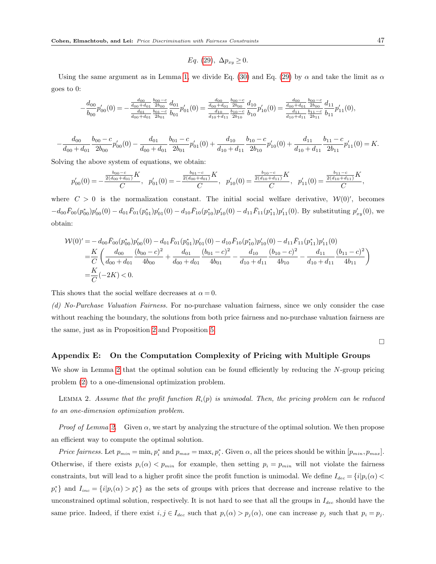$$
Eq. (29), \Delta p_{xy} \ge 0.
$$

Using the same argument as in Lemma 1, we divide Eq. (30) and Eq. (29) by  $\alpha$  and take the limit as  $\alpha$ goes to 0:

$$
-\frac{d_{00}}{b_{00}}p'_{00}(0) = -\frac{\frac{d_{00}}{d_{00} + d_{01}} \frac{b_{00} - c}{2b_{00}}}{\frac{d_{01}}{d_{00} + d_{01}} \frac{b_{01} - c}{2b_{01}} \frac{b_{01}}{b_{01}}p'_{01}(0) = \frac{\frac{d_{00}}{d_{00} + d_{01}} \frac{b_{00} - c}{2b_{00}}}{\frac{d_{10}}{d_{10} + d_{11}} \frac{b_{10} - c}{2b_{10}} \frac{b_{10} - c}{b_{10}} \frac{b_{10}}{b_{10}}p'_{10}(0) = \frac{\frac{d_{00}}{d_{00} + d_{01}} \frac{b_{00} - c}{2b_{00}}}{\frac{d_{11}}{d_{10} + d_{11}} \frac{b_{11} - c}{2b_{11}} \frac{b_{11} - c}{b_{11}} p'_{11}(0),
$$

$$
-\frac{d_{00}}{d_{00}+d_{01}}\frac{b_{00}-c}{2b_{00}}p'_{00}(0)-\frac{d_{01}}{d_{00}+d_{01}}\frac{b_{01}-c}{2b_{01}}p'_{01}(0)+\frac{d_{10}}{d_{10}+d_{11}}\frac{b_{10}-c}{2b_{10}}p'_{10}(0)+\frac{d_{11}}{d_{10}+d_{11}}\frac{b_{11}-c}{2b_{11}}p'_{11}(0)=K.
$$

Solving the above system of equations, we obtain:

$$
p'_{00}(0) = -\frac{\frac{b_{00}-c}{2(d_{00}+d_{01})}K}{C}, \quad p'_{01}(0) = -\frac{\frac{b_{01}-c}{2(d_{00}+d_{01})}K}{C}, \quad p'_{10}(0) = \frac{\frac{b_{10}-c}{2(d_{10}+d_{11})}K}{C}, \quad p'_{11}(0) = \frac{\frac{b_{11}-c}{2(d_{10}+d_{11})}K}{C},
$$

where  $C > 0$  is the normalization constant. The initial social welfare derivative,  $\mathcal{W}(0)'$ , becomes  $-d_{00}\bar{F}_{00}(p_{00}^*)p_{00}'(0) - d_{01}\bar{F}_{01}(p_{01}^*)p_{01}'(0) - d_{10}\bar{F}_{10}(p_{10}^*)p_{10}'(0) - d_{11}\bar{F}_{11}(p_{11}^*)p_{11}'(0)$ . By substituting  $p_{xy}'(0)$ , we obtain:

$$
\mathcal{W}(0)' = -d_{00}\bar{F}_{00}(p_{00}^*)p_{00}'(0) - d_{01}\bar{F}_{01}(p_{01}^*)p_{01}'(0) - d_{10}\bar{F}_{10}(p_{10}^*)p_{10}'(0) - d_{11}\bar{F}_{11}(p_{11}^*)p_{11}'(0) \n= \frac{K}{C}\left(\frac{d_{00}}{d_{00} + d_{01}}\frac{(b_{00} - c)^2}{4b_{00}} + \frac{d_{01}}{d_{00} + d_{01}}\frac{(b_{01} - c)^2}{4b_{01}} - \frac{d_{10}}{d_{10} + d_{11}}\frac{(b_{10} - c)^2}{4b_{10}} - \frac{d_{11}}{d_{10} + d_{11}}\frac{(b_{11} - c)^2}{4b_{11}}\right) \n= \frac{K}{C}(-2K) < 0.
$$

This shows that the social welfare decreases at  $\alpha = 0$ .

(d) No-Purchase Valuation Fairness. For no-purchase valuation fairness, since we only consider the case without reaching the boundary, the solutions from both price fairness and no-purchase valuation fairness are the same, just as in Proposition 2 and Proposition 5.

 $\Box$ 

#### Appendix E: On the Computation Complexity of Pricing with Multiple Groups

We show in Lemma 2 that the optimal solution can be found efficiently by reducing the N-group pricing problem (2) to a one-dimensional optimization problem.

LEMMA 2. Assume that the profit function  $R_i(p)$  is unimodal. Then, the pricing problem can be reduced to an one-dimension optimization problem.

*Proof of Lemma 2.* Given  $\alpha$ , we start by analyzing the structure of the optimal solution. We then propose an efficient way to compute the optimal solution.

*Price fairness.* Let  $p_{min} = \min_i p_i^*$  and  $p_{max} = \max_i p_i^*$ . Given  $\alpha$ , all the prices should be within  $[p_{min}, p_{max}]$ . Otherwise, if there exists  $p_i(\alpha) < p_{min}$  for example, then setting  $p_i = p_{min}$  will not violate the fairness constraints, but will lead to a higher profit since the profit function is unimodal. We define  $I_{dec} = \{i|p_i(\alpha)$  $p_i^*$  and  $I_{inc} = \{i|p_i(\alpha) > p_i^*\}$  as the sets of groups with prices that decrease and increase relative to the unconstrained optimal solution, respectively. It is not hard to see that all the groups in  $I_{dec}$  should have the same price. Indeed, if there exist  $i, j \in I_{dec}$  such that  $p_i(\alpha) > p_j(\alpha)$ , one can increase  $p_j$  such that  $p_i = p_j$ .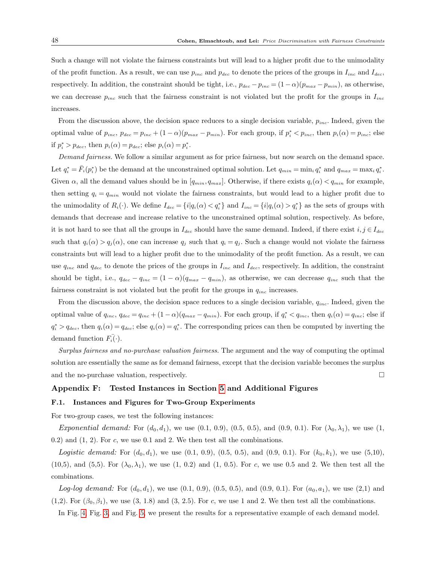Such a change will not violate the fairness constraints but will lead to a higher profit due to the unimodality of the profit function. As a result, we can use  $p_{inc}$  and  $p_{dec}$  to denote the prices of the groups in  $I_{inc}$  and  $I_{dec}$ , respectively. In addition, the constraint should be tight, i.e.,  $p_{dec} - p_{inc} = (1 - \alpha)(p_{max} - p_{min})$ , as otherwise, we can decrease  $p_{inc}$  such that the fairness constraint is not violated but the profit for the groups in  $I_{inc}$ increases.

From the discussion above, the decision space reduces to a single decision variable,  $p_{inc}$ . Indeed, given the optimal value of  $p_{inc}$ ,  $p_{dec} = p_{inc} + (1 - \alpha)(p_{max} - p_{min})$ . For each group, if  $p_i^* < p_{inc}$ , then  $p_i(\alpha) = p_{inc}$ ; else if  $p_i^* > p_{dec}$ , then  $p_i(\alpha) = p_{dec}$ ; else  $p_i(\alpha) = p_i^*$ .

Demand fairness. We follow a similar argument as for price fairness, but now search on the demand space. Let  $q_i^* = \bar{F}_i(p_i^*)$  be the demand at the unconstrained optimal solution. Let  $q_{min} = \min_i q_i^*$  and  $q_{max} = \max_i q_i^*$ . Given  $\alpha$ , all the demand values should be in  $[q_{min}, q_{max}]$ . Otherwise, if there exists  $q_i(\alpha) < q_{min}$  for example, then setting  $q_i = q_{min}$  would not violate the fairness constraints, but would lead to a higher profit due to the unimodality of  $R_i(\cdot)$ . We define  $I_{dec} = \{i | q_i(\alpha) < q_i^* \}$  and  $I_{inc} = \{i | q_i(\alpha) > q_i^* \}$  as the sets of groups with demands that decrease and increase relative to the unconstrained optimal solution, respectively. As before, it is not hard to see that all the groups in  $I_{dec}$  should have the same demand. Indeed, if there exist  $i, j \in I_{dec}$ such that  $q_i(\alpha) > q_j(\alpha)$ , one can increase  $q_j$  such that  $q_i = q_j$ . Such a change would not violate the fairness constraints but will lead to a higher profit due to the unimodality of the profit function. As a result, we can use  $q_{inc}$  and  $q_{dec}$  to denote the prices of the groups in  $I_{inc}$  and  $I_{dec}$ , respectively. In addition, the constraint should be tight, i.e.,  $q_{dec} - q_{inc} = (1 - \alpha)(q_{max} - q_{min})$ , as otherwise, we can decrease  $q_{inc}$  such that the fairness constraint is not violated but the profit for the groups in  $q_{inc}$  increases.

From the discussion above, the decision space reduces to a single decision variable,  $q_{inc}$ . Indeed, given the optimal value of  $q_{inc}$ ,  $q_{dec} = q_{inc} + (1 - \alpha)(q_{max} - q_{min})$ . For each group, if  $q_i^* < q_{inc}$ , then  $q_i(\alpha) = q_{inc}$ ; else if  $q_i^* > q_{dec}$ , then  $q_i(\alpha) = q_{dec}$ ; else  $q_i(\alpha) = q_i^*$ . The corresponding prices can then be computed by inverting the demand function  $F_i(\cdot)$ .

Surplus fairness and no-purchase valuation fairness. The argument and the way of computing the optimal solution are essentially the same as for demand fairness, except that the decision variable becomes the surplus and the no-purchase valuation, respectively.

### Appendix F: Tested Instances in Section 5 and Additional Figures

#### F.1. Instances and Figures for Two-Group Experiments

For two-group cases, we test the following instances:

Exponential demand: For  $(d_0, d_1)$ , we use  $(0.1, 0.9)$ ,  $(0.5, 0.5)$ , and  $(0.9, 0.1)$ . For  $(\lambda_0, \lambda_1)$ , we use  $(1, 0.5)$  $(0.2)$  and  $(1, 2)$ . For c, we use  $(0.1)$  and  $(2.1)$  We then test all the combinations.

Logistic demand: For  $(d_0, d_1)$ , we use  $(0.1, 0.9)$ ,  $(0.5, 0.5)$ , and  $(0.9, 0.1)$ . For  $(k_0, k_1)$ , we use  $(5.10)$ ,  $(10,5)$ , and  $(5,5)$ . For  $(\lambda_0, \lambda_1)$ , we use  $(1, 0.2)$  and  $(1, 0.5)$ . For c, we use 0.5 and 2. We then test all the combinations.

Log-log demand: For  $(d_0, d_1)$ , we use  $(0.1, 0.9)$ ,  $(0.5, 0.5)$ , and  $(0.9, 0.1)$ . For  $(a_0, a_1)$ , we use  $(2,1)$  and (1,2). For  $(\beta_0, \beta_1)$ , we use (3, 1.8) and (3, 2.5). For c, we use 1 and 2. We then test all the combinations.

In Fig. 4, Fig. 3, and Fig. 5, we present the results for a representative example of each demand model.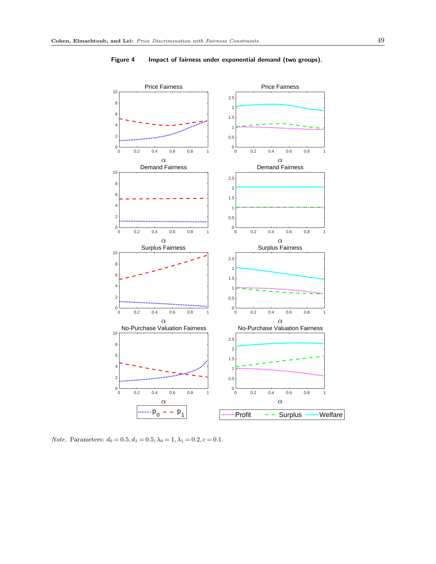

Figure 4 Impact of fairness under exponential demand (two groups).

*Note.* Parameters:  $d_0 = 0.5, d_1 = 0.5, \lambda_0 = 1, \lambda_1 = 0.2, c = 0.1$ .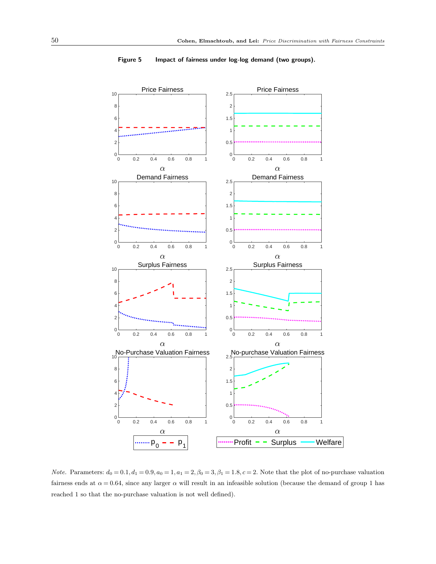

Figure 5 Impact of fairness under log-log demand (two groups).

Note. Parameters:  $d_0 = 0.1, d_1 = 0.9, a_0 = 1, a_1 = 2, \beta_0 = 3, \beta_1 = 1.8, c = 2$ . Note that the plot of no-purchase valuation fairness ends at  $\alpha = 0.64$ , since any larger  $\alpha$  will result in an infeasible solution (because the demand of group 1 has reached 1 so that the no-purchase valuation is not well defined).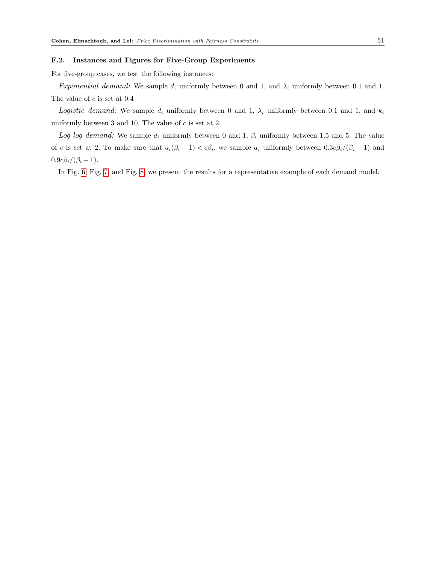#### F.2. Instances and Figures for Five-Group Experiments

For five-group cases, we test the following instances:

Exponential demand: We sample  $d_i$  uniformly between 0 and 1, and  $\lambda_i$  uniformly between 0.1 and 1. The value of  $c$  is set at  $0.4$ 

Logistic demand: We sample  $d_i$  uniformly between 0 and 1,  $\lambda_i$  uniformly between 0.1 and 1, and  $k_i$ uniformly between 3 and 10. The value of  $c$  is set at 2.

Log-log demand: We sample  $d_i$  uniformly between 0 and 1,  $\beta_i$  uniformly between 1.5 and 5. The value of c is set at 2. To make sure that  $a_i(\beta_i - 1) < c\beta_i$ , we sample  $a_i$  uniformly between  $0.3c\beta_i/(\beta_i - 1)$  and  $0.9c\beta_i/(\beta_i-1)$ .

In Fig. 6, Fig. 7, and Fig. 8, we present the results for a representative example of each demand model.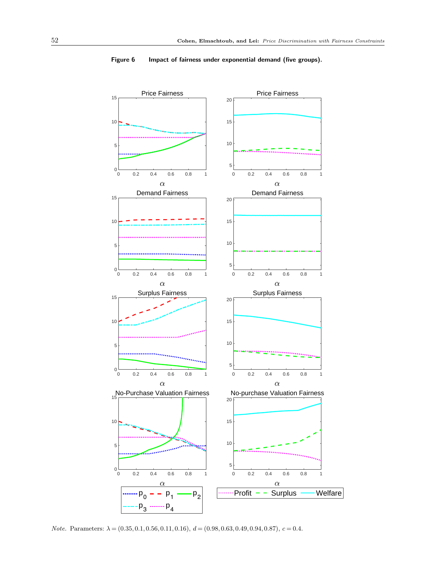

Figure 6 Impact of fairness under exponential demand (five groups).

Note. Parameters:  $\lambda = (0.35, 0.1, 0.56, 0.11, 0.16), d = (0.98, 0.63, 0.49, 0.94, 0.87), c = 0.4.$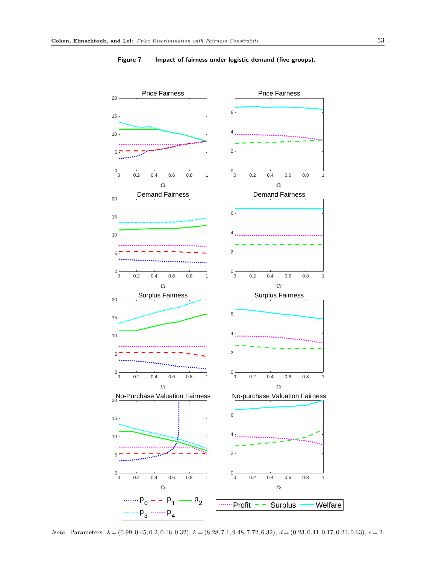

## Figure 7 Impact of fairness under logistic demand (five groups).

Note. Parameters:  $\lambda = (0.99, 0.45, 0.2, 0.16, 0.32), k = (8.28, 7.1, 9.48, 7.72, 6.32), d = (0.23, 0.41, 0.17, 0.21, 0.63), c = 2.$